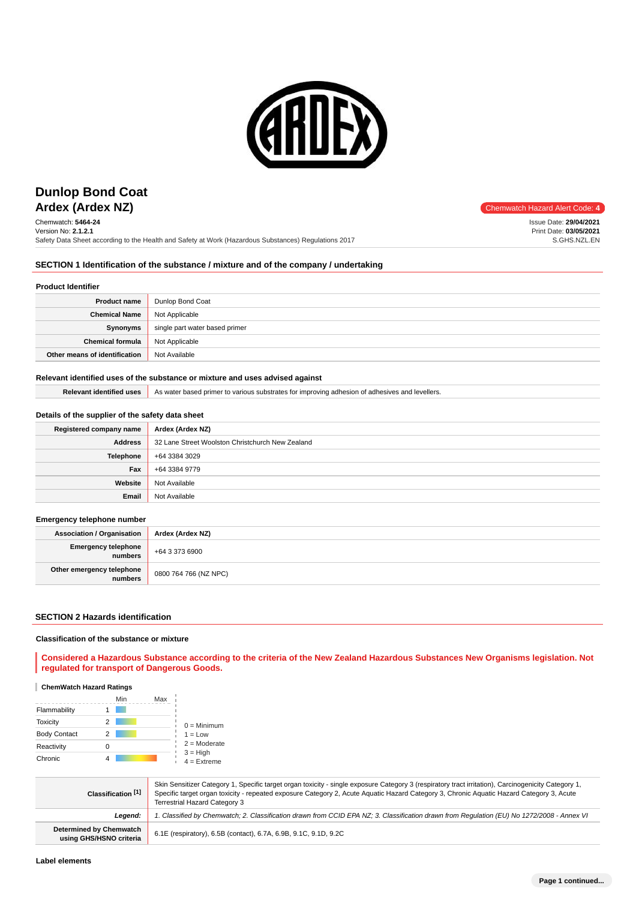

# **Ardex (Ardex NZ)** Chemwatch Hazard Alert Code: 4 **Dunlop Bond Coat**

Chemwatch: **5464-24** Version No: **2.1.2.1** Safety Data Sheet according to the Health and Safety at Work (Hazardous Substances) Regulations 2017

Issue Date: **29/04/2021** Print Date: **03/05/2021** S.GHS.NZL.EN

# **SECTION 1 Identification of the substance / mixture and of the company / undertaking**

## **Product Identifier**

| <b>Product name</b>           | Dunlop Bond Coat               |
|-------------------------------|--------------------------------|
| <b>Chemical Name</b>          | Not Applicable                 |
| Synonyms                      | single part water based primer |
| <b>Chemical formula</b>       | Not Applicable                 |
| Other means of identification | Not Available                  |

#### **Relevant identified uses of the substance or mixture and uses advised against**

Relevant identified uses As water based primer to various substrates for improving adhesion of adhesives and levellers.

# **Details of the supplier of the safety data sheet**

| Registered company name | Ardex (Ardex NZ)                                 |
|-------------------------|--------------------------------------------------|
| <b>Address</b>          | 32 Lane Street Woolston Christchurch New Zealand |
| Telephone               | +64 3384 3029                                    |
| Fax                     | +64 3384 9779                                    |
| Website                 | Not Available                                    |
| Email                   | Not Available                                    |

## **Emergency telephone number**

| <b>Association / Organisation</b>    | Ardex (Ardex NZ)      |
|--------------------------------------|-----------------------|
| Emergency telephone<br>numbers       | +64 3 373 6900        |
| Other emergency telephone<br>numbers | 0800 764 766 (NZ NPC) |

#### **SECTION 2 Hazards identification**

#### **Classification of the substance or mixture**

**Considered a Hazardous Substance according to the criteria of the New Zealand Hazardous Substances New Organisms legislation. Not regulated for transport of Dangerous Goods.**

## **ChemWatch Hazard Ratings**

|                     |   | Min | Max |                             |
|---------------------|---|-----|-----|-----------------------------|
| Flammability        |   |     |     |                             |
| <b>Toxicity</b>     |   |     |     | $0 =$ Minimum               |
| <b>Body Contact</b> | 2 |     |     | $1 = Low$                   |
| Reactivity          |   |     |     | $2 =$ Moderate              |
| Chronic             |   |     |     | $3 = High$<br>$4 =$ Extreme |

| Classification [1]                                        | Skin Sensitizer Category 1, Specific target organ toxicity - single exposure Category 3 (respiratory tract irritation), Carcinogenicity Category 1,<br>Specific target organ toxicity - repeated exposure Category 2, Acute Aguatic Hazard Category 3, Chronic Aguatic Hazard Category 3, Acute<br><b>Terrestrial Hazard Category 3</b> |  |
|-----------------------------------------------------------|-----------------------------------------------------------------------------------------------------------------------------------------------------------------------------------------------------------------------------------------------------------------------------------------------------------------------------------------|--|
| Leaend:                                                   | 1. Classified by Chemwatch; 2. Classification drawn from CCID EPA NZ; 3. Classification drawn from Requlation (EU) No 1272/2008 - Annex VI                                                                                                                                                                                              |  |
| <b>Determined by Chemwatch</b><br>using GHS/HSNO criteria | 6.1E (respiratory), 6.5B (contact), 6.7A, 6.9B, 9.1C, 9.1D, 9.2C                                                                                                                                                                                                                                                                        |  |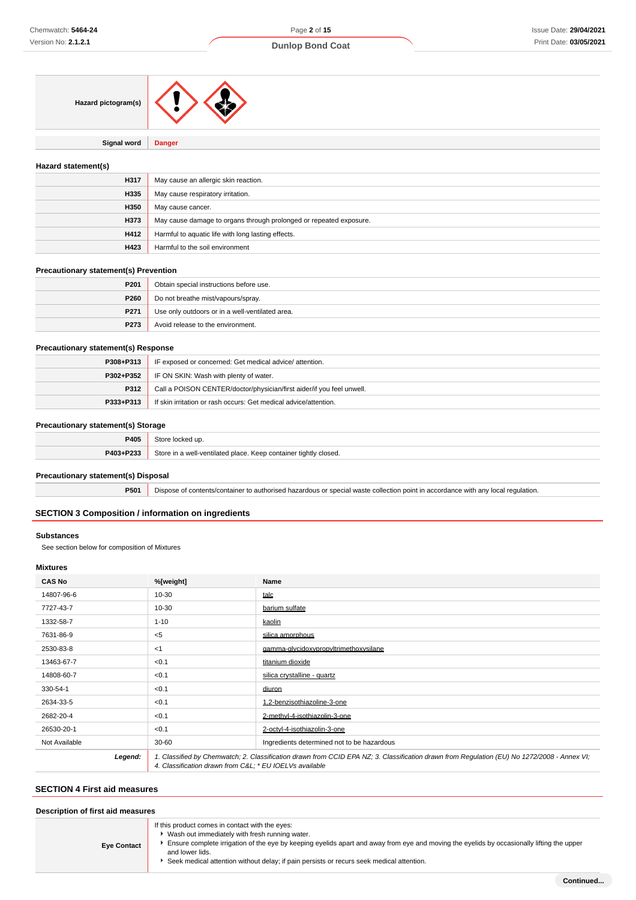# **Dunlop Bond Coat**

| Hazard pictogram(s) |  |
|---------------------|--|
|                     |  |

**Signal word Danger**

## **Hazard statement(s)**

| H317 | May cause an allergic skin reaction.                               |
|------|--------------------------------------------------------------------|
| H335 | May cause respiratory irritation.                                  |
| H350 | May cause cancer.                                                  |
| H373 | May cause damage to organs through prolonged or repeated exposure. |
| H412 | Harmful to aquatic life with long lasting effects.                 |
| H423 | Harmful to the soil environment                                    |

## **Precautionary statement(s) Prevention**

| P <sub>201</sub> | Obtain special instructions before use.         |
|------------------|-------------------------------------------------|
| P260             | Do not breathe mist/vapours/spray.              |
| P271             | Use only outdoors or in a well-ventilated area. |
| P273             | Avoid release to the environment.               |

## **Precautionary statement(s) Response**

| P308+P313 | IF exposed or concerned: Get medical advice/attention.                |  |
|-----------|-----------------------------------------------------------------------|--|
| P302+P352 | IF ON SKIN: Wash with plenty of water.                                |  |
| P312      | Call a POISON CENTER/doctor/physician/first aider/if you feel unwell. |  |
| P333+P313 | If skin irritation or rash occurs: Get medical advice/attention.      |  |

## **Precautionary statement(s) Storage**

| P405      | Store<br>cked up.                                                |
|-----------|------------------------------------------------------------------|
| P403+P233 | Store in a well-ventilated place. Keep container tightly closed. |
|           |                                                                  |

# **Precautionary statement(s) Disposal**

**P501** Dispose of contents/container to authorised hazardous or special waste collection point in accordance with any local regulation.

## **SECTION 3 Composition / information on ingredients**

#### **Substances**

See section below for composition of Mixtures

# **Mixtures**

| <b>CAS No</b> | %[weight]                                                                                                                                                                                             | Name                                       |
|---------------|-------------------------------------------------------------------------------------------------------------------------------------------------------------------------------------------------------|--------------------------------------------|
| 14807-96-6    | 10-30                                                                                                                                                                                                 | talc                                       |
| 7727-43-7     | $10 - 30$                                                                                                                                                                                             | barium sulfate                             |
| 1332-58-7     | $1 - 10$                                                                                                                                                                                              | kaolin                                     |
| 7631-86-9     | $<$ 5                                                                                                                                                                                                 | silica amorphous                           |
| 2530-83-8     | $<$ 1                                                                                                                                                                                                 | gamma-glycidoxypropyltrimethoxysilane      |
| 13463-67-7    | < 0.1                                                                                                                                                                                                 | titanium dioxide                           |
| 14808-60-7    | < 0.1                                                                                                                                                                                                 | silica crystalline - quartz                |
| 330-54-1      | < 0.1                                                                                                                                                                                                 | diuron                                     |
| 2634-33-5     | < 0.1                                                                                                                                                                                                 | 1.2-benzisothiazoline-3-one                |
| 2682-20-4     | < 0.1                                                                                                                                                                                                 | 2-methyl-4-isothiazolin-3-one              |
| 26530-20-1    | < 0.1                                                                                                                                                                                                 | 2-octyl-4-isothiazolin-3-one               |
| Not Available | $30 - 60$                                                                                                                                                                                             | Ingredients determined not to be hazardous |
| Legend:       | 1. Classified by Chemwatch; 2. Classification drawn from CCID EPA NZ; 3. Classification drawn from Regulation (EU) No 1272/2008 - Annex VI;<br>4. Classification drawn from C&L * EU IOELVs available |                                            |

# **SECTION 4 First aid measures**

| Description of first aid measures |                                                                                                                                                                                                                                                                                                                                                                 |
|-----------------------------------|-----------------------------------------------------------------------------------------------------------------------------------------------------------------------------------------------------------------------------------------------------------------------------------------------------------------------------------------------------------------|
| <b>Eye Contact</b>                | If this product comes in contact with the eyes:<br>• Wash out immediately with fresh running water.<br>Ensure complete irrigation of the eye by keeping eyelids apart and away from eye and moving the eyelids by occasionally lifting the upper<br>and lower lids.<br>Seek medical attention without delay; if pain persists or recurs seek medical attention. |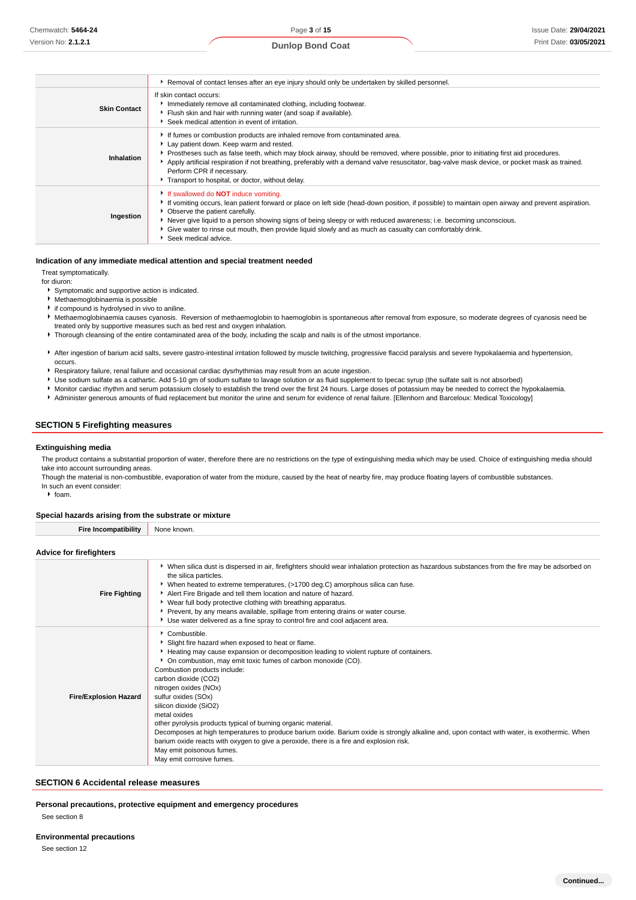| <b>Dunlop Bond Coat</b> |  |
|-------------------------|--|
|-------------------------|--|

|                     | Removal of contact lenses after an eye injury should only be undertaken by skilled personnel.                                                                                                                                                                                                                                                                                                                                                                                                     |
|---------------------|---------------------------------------------------------------------------------------------------------------------------------------------------------------------------------------------------------------------------------------------------------------------------------------------------------------------------------------------------------------------------------------------------------------------------------------------------------------------------------------------------|
| <b>Skin Contact</b> | If skin contact occurs:<br>Immediately remove all contaminated clothing, including footwear.<br>Flush skin and hair with running water (and soap if available).<br>Seek medical attention in event of irritation.                                                                                                                                                                                                                                                                                 |
| Inhalation          | If fumes or combustion products are inhaled remove from contaminated area.<br>Lay patient down. Keep warm and rested.<br>▶ Prostheses such as false teeth, which may block airway, should be removed, where possible, prior to initiating first aid procedures.<br>Apply artificial respiration if not breathing, preferably with a demand valve resuscitator, bag-valve mask device, or pocket mask as trained.<br>Perform CPR if necessary.<br>Transport to hospital, or doctor, without delay. |
| Ingestion           | If swallowed do <b>NOT</b> induce vomiting.<br>If vomiting occurs, lean patient forward or place on left side (head-down position, if possible) to maintain open airway and prevent aspiration.<br>• Observe the patient carefully.<br>Never give liquid to a person showing signs of being sleepy or with reduced awareness; i.e. becoming unconscious.<br>Give water to rinse out mouth, then provide liquid slowly and as much as casualty can comfortably drink.<br>Seek medical advice.      |

#### **Indication of any immediate medical attention and special treatment needed**

#### Treat symptomatically.

for diuron:

- Symptomatic and supportive action is indicated.
- Methaemoglobinaemia is possible
- if compound is hydrolysed in vivo to aniline.
- Methaemoglobinaemia causes cyanosis. Reversion of methaemoglobin to haemoglobin is spontaneous after removal from exposure, so moderate degrees of cyanosis need be treated only by supportive measures such as bed rest and oxygen inhalation.
- ▶ Thorough cleansing of the entire contaminated area of the body, including the scalp and nails is of the utmost importance.
- After ingestion of barium acid salts, severe gastro-intestinal irritation followed by muscle twitching, progressive flaccid paralysis and severe hypokalaemia and hypertension, occurs.
- Respiratory failure, renal failure and occasional cardiac dysrhythmias may result from an acute ingestion.
- Use sodium sulfate as a cathartic. Add 5-10 gm of sodium sulfate to lavage solution or as fluid supplement to Ipecac syrup (the sulfate salt is not absorbed)
- Monitor cardiac rhythm and serum potassium closely to establish the trend over the first 24 hours. Large doses of potassium may be needed to correct the hypokalaemia.
- Administer generous amounts of fluid replacement but monitor the urine and serum for evidence of renal failure. [Ellenhorn and Barceloux: Medical Toxicology]

# **SECTION 5 Firefighting measures**

#### **Extinguishing media**

The product contains a substantial proportion of water, therefore there are no restrictions on the type of extinguishing media which may be used. Choice of extinguishing media should take into account surrounding areas

Though the material is non-combustible, evaporation of water from the mixture, caused by the heat of nearby fire, may produce floating layers of combustible substances. In such an event consider:

 $\triangleright$  foam.

#### **Special hazards arising from the substrate or mixture**

#### **Advice for firefighters**

| <b>Fire Fighting</b>         | ▶ When silica dust is dispersed in air, firefighters should wear inhalation protection as hazardous substances from the fire may be adsorbed on<br>the silica particles.<br>• When heated to extreme temperatures, (>1700 deg.C) amorphous silica can fuse.<br>Alert Fire Brigade and tell them location and nature of hazard.<br>► Wear full body protective clothing with breathing apparatus.<br>Prevent, by any means available, spillage from entering drains or water course.<br>► Use water delivered as a fine spray to control fire and cool adjacent area.                                                                                                                                                                                  |
|------------------------------|-------------------------------------------------------------------------------------------------------------------------------------------------------------------------------------------------------------------------------------------------------------------------------------------------------------------------------------------------------------------------------------------------------------------------------------------------------------------------------------------------------------------------------------------------------------------------------------------------------------------------------------------------------------------------------------------------------------------------------------------------------|
| <b>Fire/Explosion Hazard</b> | Combustible.<br>Slight fire hazard when exposed to heat or flame.<br>Heating may cause expansion or decomposition leading to violent rupture of containers.<br>• On combustion, may emit toxic fumes of carbon monoxide (CO).<br>Combustion products include:<br>carbon dioxide (CO2)<br>nitrogen oxides (NOx)<br>sulfur oxides (SOx)<br>silicon dioxide (SiO2)<br>metal oxides<br>other pyrolysis products typical of burning organic material.<br>Decomposes at high temperatures to produce barium oxide. Barium oxide is strongly alkaline and, upon contact with water, is exothermic. When<br>barium oxide reacts with oxygen to give a peroxide, there is a fire and explosion risk.<br>May emit poisonous fumes.<br>May emit corrosive fumes. |

#### **SECTION 6 Accidental release measures**

**Personal precautions, protective equipment and emergency procedures**

See section 8

See section 12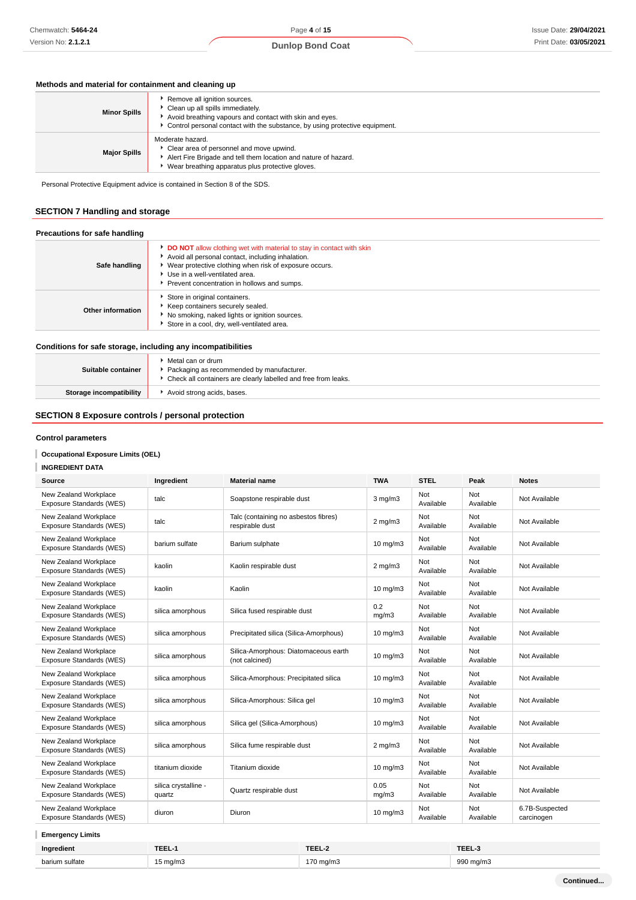# **Methods and material for containment and cleaning up**

| <b>Minor Spills</b> | Remove all ignition sources.<br>Clean up all spills immediately.<br>Avoid breathing vapours and contact with skin and eyes.<br>► Control personal contact with the substance, by using protective equipment. |
|---------------------|--------------------------------------------------------------------------------------------------------------------------------------------------------------------------------------------------------------|
| <b>Major Spills</b> | Moderate hazard.<br>• Clear area of personnel and move upwind.<br>Alert Fire Brigade and tell them location and nature of hazard.<br>Wear breathing apparatus plus protective gloves.                        |

Personal Protective Equipment advice is contained in Section 8 of the SDS.

# **SECTION 7 Handling and storage**

## **Precautions for safe handling**

| Safe handling     | <b>DO NOT</b> allow clothing wet with material to stay in contact with skin<br>Avoid all personal contact, including inhalation.<br>▶ Wear protective clothing when risk of exposure occurs.<br>Use in a well-ventilated area.<br>Prevent concentration in hollows and sumps. |
|-------------------|-------------------------------------------------------------------------------------------------------------------------------------------------------------------------------------------------------------------------------------------------------------------------------|
| Other information | Store in original containers.<br>▶ Keep containers securely sealed.<br>▶ No smoking, naked lights or ignition sources.<br>Store in a cool, dry, well-ventilated area.                                                                                                         |

# **Conditions for safe storage, including any incompatibilities**

| Suitable container      | Metal can or drum<br>Packaging as recommended by manufacturer.<br>▶ Check all containers are clearly labelled and free from leaks. |
|-------------------------|------------------------------------------------------------------------------------------------------------------------------------|
| Storage incompatibility | Avoid strong acids, bases.                                                                                                         |

# **SECTION 8 Exposure controls / personal protection**

# **Control parameters**

# **Occupational Exposure Limits (OEL)**

## **INGREDIENT DATA**

| New Zealand Workplace<br>Not<br>Not<br>talc<br>Soapstone respirable dust<br>$3 \text{ mg/m}$<br>Not Available<br>Available<br>Available<br>Exposure Standards (WES)<br>New Zealand Workplace<br>Talc (containing no asbestos fibres)<br>Not<br>Not<br>$2$ mg/m $3$<br>Not Available<br>talc<br>Exposure Standards (WES)<br>respirable dust<br>Available<br>Available<br>New Zealand Workplace<br>Not<br>Not<br>$10 \text{ mg/m}$<br>barium sulfate<br>Barium sulphate<br>Not Available<br>Available<br>Exposure Standards (WES)<br>Available |  |
|----------------------------------------------------------------------------------------------------------------------------------------------------------------------------------------------------------------------------------------------------------------------------------------------------------------------------------------------------------------------------------------------------------------------------------------------------------------------------------------------------------------------------------------------|--|
|                                                                                                                                                                                                                                                                                                                                                                                                                                                                                                                                              |  |
|                                                                                                                                                                                                                                                                                                                                                                                                                                                                                                                                              |  |
|                                                                                                                                                                                                                                                                                                                                                                                                                                                                                                                                              |  |
| New Zealand Workplace<br>Not<br>Not<br>Kaolin respirable dust<br>Not Available<br>kaolin<br>$2$ mg/m $3$<br>Available<br>Available<br>Exposure Standards (WES)                                                                                                                                                                                                                                                                                                                                                                               |  |
| New Zealand Workplace<br>Not<br>Not<br>kaolin<br>Kaolin<br>$10$ mg/m $3$<br>Not Available<br>Exposure Standards (WES)<br>Available<br>Available                                                                                                                                                                                                                                                                                                                                                                                              |  |
| New Zealand Workplace<br>0.2<br>Not<br>Not<br>Silica fused respirable dust<br>Not Available<br>silica amorphous<br>Available<br>Available<br>Exposure Standards (WES)<br>mg/m3                                                                                                                                                                                                                                                                                                                                                               |  |
| New Zealand Workplace<br>Not<br>Not<br>silica amorphous<br>Precipitated silica (Silica-Amorphous)<br>$10 \text{ mg/m}$<br>Not Available<br>Available<br>Exposure Standards (WES)<br>Available                                                                                                                                                                                                                                                                                                                                                |  |
| New Zealand Workplace<br>Silica-Amorphous: Diatomaceous earth<br>Not<br>Not<br>$10$ mg/m $3$<br>Not Available<br>silica amorphous<br>Exposure Standards (WES)<br>(not calcined)<br>Available<br>Available                                                                                                                                                                                                                                                                                                                                    |  |
| New Zealand Workplace<br>Not<br>Not<br>Silica-Amorphous: Precipitated silica<br>$10$ mg/m $3$<br>Not Available<br>silica amorphous<br>Available<br>Exposure Standards (WES)<br>Available                                                                                                                                                                                                                                                                                                                                                     |  |
| New Zealand Workplace<br>Not<br>Not<br>10 mg/m3<br>Not Available<br>silica amorphous<br>Silica-Amorphous: Silica gel<br>Exposure Standards (WES)<br>Available<br>Available                                                                                                                                                                                                                                                                                                                                                                   |  |
| New Zealand Workplace<br>Not<br>Not<br>Silica gel (Silica-Amorphous)<br>$10 \text{ mg/m}$<br>Not Available<br>silica amorphous<br>Available<br>Exposure Standards (WES)<br>Available                                                                                                                                                                                                                                                                                                                                                         |  |
| New Zealand Workplace<br>Not<br>Not<br>Silica fume respirable dust<br>Not Available<br>silica amorphous<br>$2$ mg/m $3$<br>Exposure Standards (WES)<br>Available<br>Available                                                                                                                                                                                                                                                                                                                                                                |  |
| Not<br>New Zealand Workplace<br>Not<br>10 mg/m3<br>titanium dioxide<br>Titanium dioxide<br>Not Available<br>Exposure Standards (WES)<br>Available<br>Available                                                                                                                                                                                                                                                                                                                                                                               |  |
| 0.05<br>New Zealand Workplace<br>silica crystalline -<br>Not<br>Not<br>Not Available<br>Quartz respirable dust<br>Available<br>Exposure Standards (WES)<br>mq/m3<br>Available<br>quartz                                                                                                                                                                                                                                                                                                                                                      |  |
| New Zealand Workplace<br>6.7B-Suspected<br>Not<br>Not<br>$10 \text{ mg/m}$<br>Diuron<br>diuron<br>Exposure Standards (WES)<br>Available<br>Available<br>carcinogen                                                                                                                                                                                                                                                                                                                                                                           |  |

# **Emergency Limits**

| Ingredient     | TEEL-   | TEEL-2 | TEEL 9<br>IEEL : |
|----------------|---------|--------|------------------|
| barium sulfate | i ma/m3 | ma/m3  | 990 mg/m3        |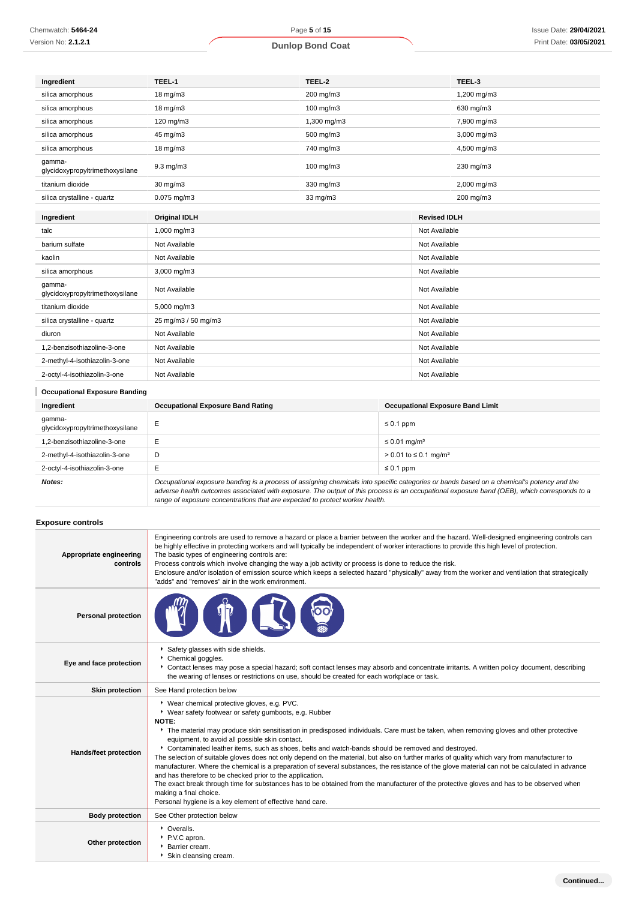| Chemwatch: 5464-24         | Page 5 of 15            | lss |
|----------------------------|-------------------------|-----|
| Version No: <b>2.1.2.1</b> | <b>Dunlop Bond Coat</b> |     |

|  | Issue Date: 29/04/2021 |
|--|------------------------|
|  | Print Date: 03/05/2021 |

| Ingredient                                | TEEL-1                | TEEL-2      |                     | TEEL-3      |
|-------------------------------------------|-----------------------|-------------|---------------------|-------------|
| silica amorphous                          | 18 mg/m3<br>200 mg/m3 |             | 1,200 mg/m3         |             |
| silica amorphous                          | 18 mg/m3<br>100 mg/m3 |             | 630 mg/m3           |             |
| silica amorphous                          | 120 mg/m3             | 1,300 mg/m3 | 7,900 mg/m3         |             |
| silica amorphous                          | 45 mg/m3              | 500 mg/m3   | 3,000 mg/m3         |             |
| silica amorphous                          | 18 mg/m3              | 740 mg/m3   | 4,500 mg/m3         |             |
| qamma-<br>glycidoxypropyltrimethoxysilane | 9.3 mg/m3             | 100 mg/m3   |                     | 230 mg/m3   |
| titanium dioxide                          | 30 mg/m3              | 330 mg/m3   |                     | 2,000 mg/m3 |
| silica crystalline - quartz               | $0.075$ mg/m $3$      | 33 mg/m3    |                     | 200 mg/m3   |
| Ingredient                                | <b>Original IDLH</b>  |             | <b>Revised IDLH</b> |             |
| talc                                      | 1,000 mg/m3           |             | Not Available       |             |
| barium sulfate                            | Not Available         |             | Not Available       |             |
| kaolin                                    | Not Available         |             | Not Available       |             |
| silica amorphous                          | 3,000 mg/m3           |             | Not Available       |             |
| gamma-<br>qlycidoxypropyltrimethoxysilane | Not Available         |             | Not Available       |             |
| titanium dioxide                          | 5,000 mg/m3           |             | Not Available       |             |
| silica crystalline - quartz               | 25 mg/m3 / 50 mg/m3   |             | Not Available       |             |
| diuron                                    | Not Available         |             | Not Available       |             |
| 1,2-benzisothiazoline-3-one               | Not Available         |             | Not Available       |             |
| 2-methyl-4-isothiazolin-3-one             | Not Available         |             | Not Available       |             |
| 2-octyl-4-isothiazolin-3-one              | Not Available         |             | Not Available       |             |

| <b>Occupational Exposure Banding</b>      |                                                                                                                                                                                                                                                                                                                                                                          |                                          |  |  |
|-------------------------------------------|--------------------------------------------------------------------------------------------------------------------------------------------------------------------------------------------------------------------------------------------------------------------------------------------------------------------------------------------------------------------------|------------------------------------------|--|--|
| Ingredient                                | <b>Occupational Exposure Band Rating</b>                                                                                                                                                                                                                                                                                                                                 | <b>Occupational Exposure Band Limit</b>  |  |  |
| qamma-<br>glycidoxypropyltrimethoxysilane | E                                                                                                                                                                                                                                                                                                                                                                        | $\leq 0.1$ ppm                           |  |  |
| 1.2-benzisothiazoline-3-one               | E                                                                                                                                                                                                                                                                                                                                                                        | $\leq$ 0.01 mg/m <sup>3</sup>            |  |  |
| 2-methyl-4-isothiazolin-3-one             | D                                                                                                                                                                                                                                                                                                                                                                        | $> 0.01$ to $\leq 0.1$ mg/m <sup>3</sup> |  |  |
| 2-octyl-4-isothiazolin-3-one              | E                                                                                                                                                                                                                                                                                                                                                                        | $\leq 0.1$ ppm                           |  |  |
| Notes:                                    | Occupational exposure banding is a process of assigning chemicals into specific categories or bands based on a chemical's potency and the<br>adverse health outcomes associated with exposure. The output of this process is an occupational exposure band (OEB), which corresponds to a<br>range of exposure concentrations that are expected to protect worker health. |                                          |  |  |

# **Exposure controls**

| Appropriate engineering<br>controls | Engineering controls are used to remove a hazard or place a barrier between the worker and the hazard. Well-designed engineering controls can<br>be highly effective in protecting workers and will typically be independent of worker interactions to provide this high level of protection.<br>The basic types of engineering controls are:<br>Process controls which involve changing the way a job activity or process is done to reduce the risk.<br>Enclosure and/or isolation of emission source which keeps a selected hazard "physically" away from the worker and ventilation that strategically<br>"adds" and "removes" air in the work environment.                                                                                                                                                                                                                                                                                                                                                     |
|-------------------------------------|---------------------------------------------------------------------------------------------------------------------------------------------------------------------------------------------------------------------------------------------------------------------------------------------------------------------------------------------------------------------------------------------------------------------------------------------------------------------------------------------------------------------------------------------------------------------------------------------------------------------------------------------------------------------------------------------------------------------------------------------------------------------------------------------------------------------------------------------------------------------------------------------------------------------------------------------------------------------------------------------------------------------|
| <b>Personal protection</b>          |                                                                                                                                                                                                                                                                                                                                                                                                                                                                                                                                                                                                                                                                                                                                                                                                                                                                                                                                                                                                                     |
| Eye and face protection             | Safety glasses with side shields.<br>Chemical goggles.<br>Contact lenses may pose a special hazard; soft contact lenses may absorb and concentrate irritants. A written policy document, describing<br>the wearing of lenses or restrictions on use, should be created for each workplace or task.                                                                                                                                                                                                                                                                                                                                                                                                                                                                                                                                                                                                                                                                                                                  |
| <b>Skin protection</b>              | See Hand protection below                                                                                                                                                                                                                                                                                                                                                                                                                                                                                                                                                                                                                                                                                                                                                                                                                                                                                                                                                                                           |
| Hands/feet protection               | * Wear chemical protective gloves, e.g. PVC.<br>• Wear safety footwear or safety gumboots, e.g. Rubber<br>NOTE:<br>The material may produce skin sensitisation in predisposed individuals. Care must be taken, when removing gloves and other protective<br>equipment, to avoid all possible skin contact.<br>▶ Contaminated leather items, such as shoes, belts and watch-bands should be removed and destroyed.<br>The selection of suitable gloves does not only depend on the material, but also on further marks of quality which vary from manufacturer to<br>manufacturer. Where the chemical is a preparation of several substances, the resistance of the glove material can not be calculated in advance<br>and has therefore to be checked prior to the application.<br>The exact break through time for substances has to be obtained from the manufacturer of the protective gloves and has to be observed when<br>making a final choice.<br>Personal hygiene is a key element of effective hand care. |
| <b>Body protection</b>              | See Other protection below                                                                                                                                                                                                                                                                                                                                                                                                                                                                                                                                                                                                                                                                                                                                                                                                                                                                                                                                                                                          |
| Other protection                    | • Overalls.<br>P.V.C apron.<br>Barrier cream.<br>Skin cleansing cream.                                                                                                                                                                                                                                                                                                                                                                                                                                                                                                                                                                                                                                                                                                                                                                                                                                                                                                                                              |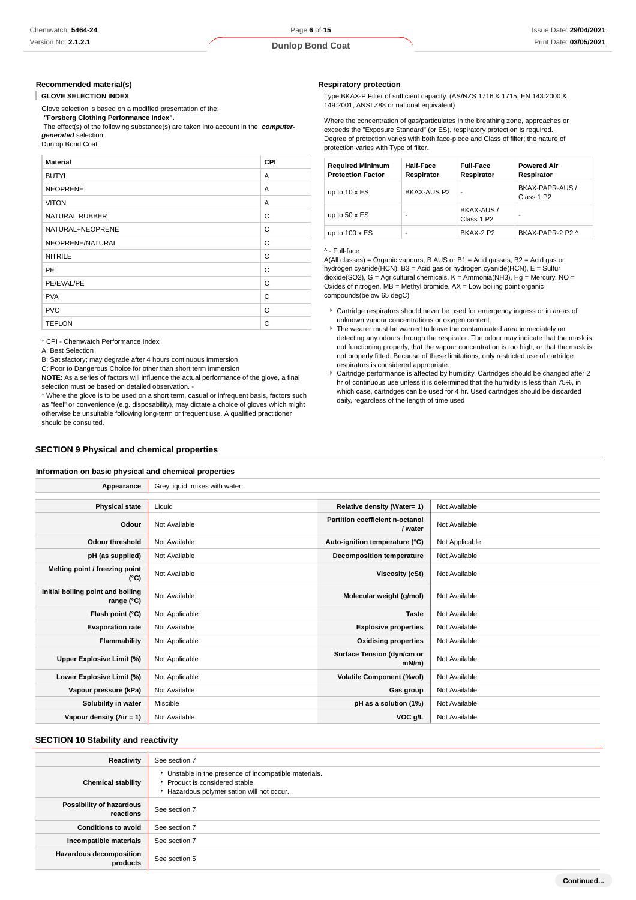#### **Recommended material(s)**

**GLOVE SELECTION INDEX**

Glove selection is based on a modified presentation of the:

 **"Forsberg Clothing Performance Index".**

 The effect(s) of the following substance(s) are taken into account in the **computergenerated** selection:

Dunlop Bond Coat

| <b>Material</b>       | CPI |
|-----------------------|-----|
| <b>BUTYL</b>          | A   |
| <b>NEOPRENE</b>       | A   |
| <b>VITON</b>          | A   |
| <b>NATURAL RUBBER</b> | C   |
| NATURAL+NEOPRENE      | C   |
| NEOPRENE/NATURAL      | C   |
| <b>NITRILE</b>        | C   |
| <b>PE</b>             | C   |
| PE/EVAL/PE            | C   |
| <b>PVA</b>            | C   |
| <b>PVC</b>            | C   |
| <b>TEFLON</b>         | C   |

\* CPI - Chemwatch Performance Index

A: Best Selection

B: Satisfactory; may degrade after 4 hours continuous immersion

C: Poor to Dangerous Choice for other than short term immersion

**NOTE**: As a series of factors will influence the actual performance of the glove, a final selection must be based on detailed observation. -

\* Where the glove is to be used on a short term, casual or infrequent basis, factors such as "feel" or convenience (e.g. disposability), may dictate a choice of gloves which might otherwise be unsuitable following long-term or frequent use. A qualified practitioner should be consulted.

## **SECTION 9 Physical and chemical properties**

#### **Information on basic physical and chemical properties**

**Respiratory protection**

Type BKAX-P Filter of sufficient capacity. (AS/NZS 1716 & 1715, EN 143:2000 & 149:2001, ANSI Z88 or national equivalent)

Where the concentration of gas/particulates in the breathing zone, approaches or exceeds the "Exposure Standard" (or ES), respiratory protection is required. Degree of protection varies with both face-piece and Class of filter; the nature of protection varies with Type of filter.

| <b>Required Minimum</b><br><b>Protection Factor</b> | <b>Half-Face</b><br>Respirator | <b>Full-Face</b><br>Respirator       | <b>Powered Air</b><br>Respirator          |
|-----------------------------------------------------|--------------------------------|--------------------------------------|-------------------------------------------|
| up to $10 \times ES$                                | BKAX-AUS P2                    | -                                    | BKAX-PAPR-AUS /<br>Class 1 P <sub>2</sub> |
| up to $50 \times ES$                                |                                | BKAX-AUS /<br>Class 1 P <sub>2</sub> | ۰                                         |
| up to $100 \times ES$                               |                                | RKAX-2 P2                            | BKAX-PAPR-2 P2 ^                          |

#### ^ - Full-face

A(All classes) = Organic vapours, B AUS or B1 = Acid gasses, B2 = Acid gas or hydrogen cyanide(HCN), B3 = Acid gas or hydrogen cyanide(HCN), E = Sulfur dioxide(SO2), G = Agricultural chemicals, K = Ammonia(NH3), Hg = Mercury, NO = Oxides of nitrogen,  $MB = M$ ethyl bromide,  $AX = Low$  boiling point organic compounds(below 65 degC)

- Cartridge respirators should never be used for emergency ingress or in areas of unknown vapour concentrations or oxygen content.
- The wearer must be warned to leave the contaminated area immediately on detecting any odours through the respirator. The odour may indicate that the mask is not functioning properly, that the vapour concentration is too high, or that the mask is not properly fitted. Because of these limitations, only restricted use of cartridge respirators is considered appropriate.
- Cartridge performance is affected by humidity. Cartridges should be changed after 2 hr of continuous use unless it is determined that the humidity is less than 75%, in which case, cartridges can be used for 4 hr. Used cartridges should be discarded daily, regardless of the length of time used

| Appearance                                      | Grey liquid; mixes with water. |                                            |                |
|-------------------------------------------------|--------------------------------|--------------------------------------------|----------------|
|                                                 |                                |                                            |                |
| <b>Physical state</b>                           | Liquid                         | Relative density (Water= 1)                | Not Available  |
| Odour                                           | Not Available                  | Partition coefficient n-octanol<br>/ water | Not Available  |
| <b>Odour threshold</b>                          | Not Available                  | Auto-ignition temperature (°C)             | Not Applicable |
| pH (as supplied)                                | Not Available                  | Decomposition temperature                  | Not Available  |
| Melting point / freezing point<br>(°C)          | Not Available                  | Viscosity (cSt)                            | Not Available  |
| Initial boiling point and boiling<br>range (°C) | Not Available                  | Molecular weight (g/mol)                   | Not Available  |
| Flash point (°C)                                | Not Applicable                 | <b>Taste</b>                               | Not Available  |
| <b>Evaporation rate</b>                         | Not Available                  | <b>Explosive properties</b>                | Not Available  |
| <b>Flammability</b>                             | Not Applicable                 | <b>Oxidising properties</b>                | Not Available  |
| Upper Explosive Limit (%)                       | Not Applicable                 | Surface Tension (dyn/cm or<br>mN/m)        | Not Available  |
| Lower Explosive Limit (%)                       | Not Applicable                 | <b>Volatile Component (%vol)</b>           | Not Available  |
| Vapour pressure (kPa)                           | Not Available                  | Gas group                                  | Not Available  |
| Solubility in water                             | Miscible                       | pH as a solution (1%)                      | Not Available  |
| Vapour density $(Air = 1)$                      | Not Available                  | VOC g/L                                    | Not Available  |

## **SECTION 10 Stability and reactivity**

| Reactivity                            | See section 7                                                                                                                    |
|---------------------------------------|----------------------------------------------------------------------------------------------------------------------------------|
| <b>Chemical stability</b>             | Unstable in the presence of incompatible materials.<br>Product is considered stable.<br>Hazardous polymerisation will not occur. |
| Possibility of hazardous<br>reactions | See section 7                                                                                                                    |
| <b>Conditions to avoid</b>            | See section 7                                                                                                                    |
| Incompatible materials                | See section 7                                                                                                                    |
| Hazardous decomposition<br>products   | See section 5                                                                                                                    |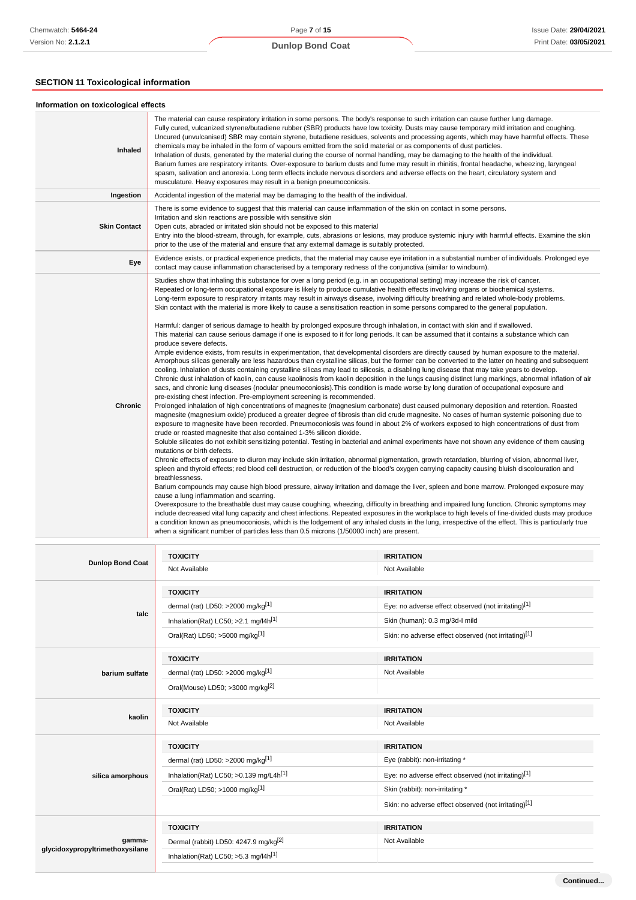# **SECTION 11 Toxicological information**

| Information on toxicological effects |                                                                                                                                                                                                                                                                                                                                                                                                                                                                                                                                                                                                                                                                                                                                                                                                                                                                                                                                                                                                                                                                                                                                                                                                                                                                                                                                                                                                                                                                                                                                                                                                                                                                                                                                                                                                                                                                                                                                                                                                                                                                                                                                                                                                                                                                                                                                                                                                                                                                                                                                                                                                                                                                                                                                                                                                                                                                                                                                                                                                                                                                                                                                                                                                                                                                                                                                                                                                                                                                  |
|--------------------------------------|------------------------------------------------------------------------------------------------------------------------------------------------------------------------------------------------------------------------------------------------------------------------------------------------------------------------------------------------------------------------------------------------------------------------------------------------------------------------------------------------------------------------------------------------------------------------------------------------------------------------------------------------------------------------------------------------------------------------------------------------------------------------------------------------------------------------------------------------------------------------------------------------------------------------------------------------------------------------------------------------------------------------------------------------------------------------------------------------------------------------------------------------------------------------------------------------------------------------------------------------------------------------------------------------------------------------------------------------------------------------------------------------------------------------------------------------------------------------------------------------------------------------------------------------------------------------------------------------------------------------------------------------------------------------------------------------------------------------------------------------------------------------------------------------------------------------------------------------------------------------------------------------------------------------------------------------------------------------------------------------------------------------------------------------------------------------------------------------------------------------------------------------------------------------------------------------------------------------------------------------------------------------------------------------------------------------------------------------------------------------------------------------------------------------------------------------------------------------------------------------------------------------------------------------------------------------------------------------------------------------------------------------------------------------------------------------------------------------------------------------------------------------------------------------------------------------------------------------------------------------------------------------------------------------------------------------------------------------------------------------------------------------------------------------------------------------------------------------------------------------------------------------------------------------------------------------------------------------------------------------------------------------------------------------------------------------------------------------------------------------------------------------------------------------------------------------------------------|
| Inhaled                              | The material can cause respiratory irritation in some persons. The body's response to such irritation can cause further lung damage.<br>Fully cured, vulcanized styrene/butadiene rubber (SBR) products have low toxicity. Dusts may cause temporary mild irritation and coughing.<br>Uncured (unvulcanised) SBR may contain styrene, butadiene residues, solvents and processing agents, which may have harmful effects. These<br>chemicals may be inhaled in the form of vapours emitted from the solid material or as components of dust particles.<br>Inhalation of dusts, generated by the material during the course of normal handling, may be damaging to the health of the individual.<br>Barium fumes are respiratory irritants. Over-exposure to barium dusts and fume may result in rhinitis, frontal headache, wheezing, laryngeal<br>spasm, salivation and anorexia. Long term effects include nervous disorders and adverse effects on the heart, circulatory system and<br>musculature. Heavy exposures may result in a benign pneumoconiosis.                                                                                                                                                                                                                                                                                                                                                                                                                                                                                                                                                                                                                                                                                                                                                                                                                                                                                                                                                                                                                                                                                                                                                                                                                                                                                                                                                                                                                                                                                                                                                                                                                                                                                                                                                                                                                                                                                                                                                                                                                                                                                                                                                                                                                                                                                                                                                                                                   |
| Ingestion                            | Accidental ingestion of the material may be damaging to the health of the individual.                                                                                                                                                                                                                                                                                                                                                                                                                                                                                                                                                                                                                                                                                                                                                                                                                                                                                                                                                                                                                                                                                                                                                                                                                                                                                                                                                                                                                                                                                                                                                                                                                                                                                                                                                                                                                                                                                                                                                                                                                                                                                                                                                                                                                                                                                                                                                                                                                                                                                                                                                                                                                                                                                                                                                                                                                                                                                                                                                                                                                                                                                                                                                                                                                                                                                                                                                                            |
| <b>Skin Contact</b>                  | There is some evidence to suggest that this material can cause inflammation of the skin on contact in some persons.<br>Irritation and skin reactions are possible with sensitive skin<br>Open cuts, abraded or irritated skin should not be exposed to this material<br>Entry into the blood-stream, through, for example, cuts, abrasions or lesions, may produce systemic injury with harmful effects. Examine the skin<br>prior to the use of the material and ensure that any external damage is suitably protected.                                                                                                                                                                                                                                                                                                                                                                                                                                                                                                                                                                                                                                                                                                                                                                                                                                                                                                                                                                                                                                                                                                                                                                                                                                                                                                                                                                                                                                                                                                                                                                                                                                                                                                                                                                                                                                                                                                                                                                                                                                                                                                                                                                                                                                                                                                                                                                                                                                                                                                                                                                                                                                                                                                                                                                                                                                                                                                                                         |
| Eye                                  | Evidence exists, or practical experience predicts, that the material may cause eye irritation in a substantial number of individuals. Prolonged eye<br>contact may cause inflammation characterised by a temporary redness of the conjunctiva (similar to windburn).                                                                                                                                                                                                                                                                                                                                                                                                                                                                                                                                                                                                                                                                                                                                                                                                                                                                                                                                                                                                                                                                                                                                                                                                                                                                                                                                                                                                                                                                                                                                                                                                                                                                                                                                                                                                                                                                                                                                                                                                                                                                                                                                                                                                                                                                                                                                                                                                                                                                                                                                                                                                                                                                                                                                                                                                                                                                                                                                                                                                                                                                                                                                                                                             |
| <b>Chronic</b>                       | Studies show that inhaling this substance for over a long period (e.g. in an occupational setting) may increase the risk of cancer.<br>Repeated or long-term occupational exposure is likely to produce cumulative health effects involving organs or biochemical systems.<br>Long-term exposure to respiratory irritants may result in airways disease, involving difficulty breathing and related whole-body problems.<br>Skin contact with the material is more likely to cause a sensitisation reaction in some persons compared to the general population.<br>Harmful: danger of serious damage to health by prolonged exposure through inhalation, in contact with skin and if swallowed.<br>This material can cause serious damage if one is exposed to it for long periods. It can be assumed that it contains a substance which can<br>produce severe defects.<br>Ample evidence exists, from results in experimentation, that developmental disorders are directly caused by human exposure to the material.<br>Amorphous silicas generally are less hazardous than crystalline silicas, but the former can be converted to the latter on heating and subsequent<br>cooling. Inhalation of dusts containing crystalline silicas may lead to silicosis, a disabling lung disease that may take years to develop.<br>Chronic dust inhalation of kaolin, can cause kaolinosis from kaolin deposition in the lungs causing distinct lung markings, abnormal inflation of air<br>sacs, and chronic lung diseases (nodular pneumoconiosis). This condition is made worse by long duration of occupational exposure and<br>pre-existing chest infection. Pre-employment screening is recommended.<br>Prolonged inhalation of high concentrations of magnesite (magnesium carbonate) dust caused pulmonary deposition and retention. Roasted<br>magnesite (magnesium oxide) produced a greater degree of fibrosis than did crude magnesite. No cases of human systemic poisoning due to<br>exposure to magnesite have been recorded. Pneumoconiosis was found in about 2% of workers exposed to high concentrations of dust from<br>crude or roasted magnesite that also contained 1-3% silicon dioxide.<br>Soluble silicates do not exhibit sensitizing potential. Testing in bacterial and animal experiments have not shown any evidence of them causing<br>mutations or birth defects.<br>Chronic effects of exposure to diuron may include skin irritation, abnormal pigmentation, growth retardation, blurring of vision, abnormal liver,<br>spleen and thyroid effects; red blood cell destruction, or reduction of the blood's oxygen carrying capacity causing bluish discolouration and<br>breathlessness.<br>Barium compounds may cause high blood pressure, airway irritation and damage the liver, spleen and bone marrow. Prolonged exposure may<br>cause a lung inflammation and scarring.<br>Overexposure to the breathable dust may cause coughing, wheezing, difficulty in breathing and impaired lung function. Chronic symptoms may<br>include decreased vital lung capacity and chest infections. Repeated exposures in the workplace to high levels of fine-divided dusts may produce<br>a condition known as pneumoconiosis, which is the lodgement of any inhaled dusts in the lung, irrespective of the effect. This is particularly true<br>when a significant number of particles less than 0.5 microns (1/50000 inch) are present. |

|                                           | <b>TOXICITY</b>                                      | <b>IRRITATION</b>                                    |  |
|-------------------------------------------|------------------------------------------------------|------------------------------------------------------|--|
| <b>Dunlop Bond Coat</b>                   | Not Available                                        | Not Available                                        |  |
|                                           | <b>TOXICITY</b>                                      | <b>IRRITATION</b>                                    |  |
|                                           | dermal (rat) LD50: >2000 mg/kg[1]                    | Eye: no adverse effect observed (not irritating)[1]  |  |
| talc                                      | Inhalation(Rat) LC50; >2.1 mg/l4h <sup>[1]</sup>     | Skin (human): 0.3 mg/3d-l mild                       |  |
|                                           | Oral(Rat) LD50; >5000 mg/kg[1]                       | Skin: no adverse effect observed (not irritating)[1] |  |
|                                           | <b>TOXICITY</b>                                      | <b>IRRITATION</b>                                    |  |
| barium sulfate                            | dermal (rat) LD50: $>2000$ mg/kg <sup>[1]</sup>      | Not Available                                        |  |
|                                           | Oral(Mouse) LD50; >3000 mg/kg <sup>[2]</sup>         |                                                      |  |
|                                           | <b>TOXICITY</b>                                      | <b>IRRITATION</b>                                    |  |
| kaolin                                    | Not Available                                        | Not Available                                        |  |
|                                           | <b>TOXICITY</b>                                      | <b>IRRITATION</b>                                    |  |
|                                           | dermal (rat) LD50: >2000 mg/kg[1]                    | Eye (rabbit): non-irritating *                       |  |
| silica amorphous                          | Inhalation(Rat) LC50; $>0.139$ mg/L4h <sup>[1]</sup> | Eye: no adverse effect observed (not irritating)[1]  |  |
|                                           | Oral(Rat) LD50; >1000 mg/kg[1]                       | Skin (rabbit): non-irritating *                      |  |
|                                           |                                                      | Skin: no adverse effect observed (not irritating)[1] |  |
|                                           |                                                      |                                                      |  |
|                                           | <b>TOXICITY</b>                                      | <b>IRRITATION</b>                                    |  |
| gamma-<br>glycidoxypropyltrimethoxysilane | Dermal (rabbit) LD50: 4247.9 mg/kg <sup>[2]</sup>    | Not Available                                        |  |

**Continued...**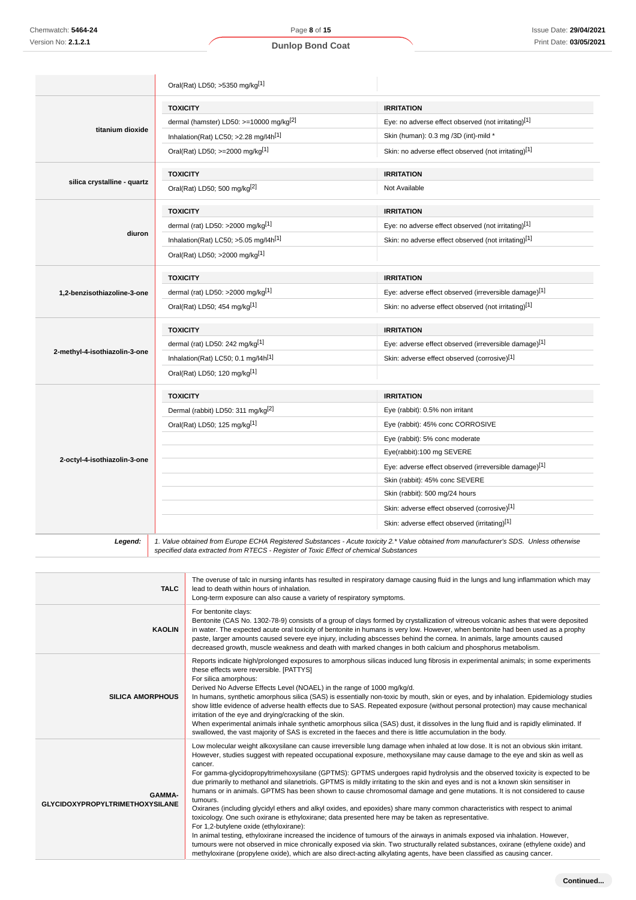|                               | Oral(Rat) LD50; >5350 mg/kg[1]                                                        |                                                                                                                                        |  |
|-------------------------------|---------------------------------------------------------------------------------------|----------------------------------------------------------------------------------------------------------------------------------------|--|
|                               | <b>TOXICITY</b>                                                                       | <b>IRRITATION</b>                                                                                                                      |  |
|                               | dermal (hamster) LD50: >=10000 mg/kg <sup>[2]</sup>                                   | Eye: no adverse effect observed (not irritating)[1]                                                                                    |  |
| titanium dioxide              | Inhalation(Rat) LC50; >2.28 mg/l4h[1]                                                 | Skin (human): 0.3 mg /3D (int)-mild *                                                                                                  |  |
|                               | Oral(Rat) LD50; >=2000 mg/kg <sup>[1]</sup>                                           | Skin: no adverse effect observed (not irritating)[1]                                                                                   |  |
|                               | <b>TOXICITY</b>                                                                       | <b>IRRITATION</b>                                                                                                                      |  |
| silica crystalline - quartz   | Oral(Rat) LD50; 500 mg/kg[2]                                                          | Not Available                                                                                                                          |  |
|                               | <b>TOXICITY</b>                                                                       | <b>IRRITATION</b>                                                                                                                      |  |
|                               | dermal (rat) LD50: >2000 mg/kg $[1]$                                                  | Eye: no adverse effect observed (not irritating)[1]                                                                                    |  |
| diuron                        | Inhalation(Rat) LC50; >5.05 mg/l4h <sup>[1]</sup>                                     | Skin: no adverse effect observed (not irritating)[1]                                                                                   |  |
|                               | Oral(Rat) LD50; >2000 mg/kg[1]                                                        |                                                                                                                                        |  |
|                               | <b>TOXICITY</b>                                                                       | <b>IRRITATION</b>                                                                                                                      |  |
| 1,2-benzisothiazoline-3-one   | dermal (rat) LD50: >2000 mg/kg[1]                                                     | Eye: adverse effect observed (irreversible damage)[1]                                                                                  |  |
|                               | Oral(Rat) LD50; 454 mg/kg[1]                                                          | Skin: no adverse effect observed (not irritating)[1]                                                                                   |  |
|                               | <b>TOXICITY</b>                                                                       | <b>IRRITATION</b>                                                                                                                      |  |
|                               | dermal (rat) LD50: 242 mg/kg <sup>[1]</sup>                                           | Eye: adverse effect observed (irreversible damage)[1]                                                                                  |  |
| 2-methyl-4-isothiazolin-3-one | Inhalation(Rat) LC50; 0.1 mg/l4h[1]                                                   | Skin: adverse effect observed (corrosive)[1]                                                                                           |  |
|                               | Oral(Rat) LD50; 120 mg/kg[1]                                                          |                                                                                                                                        |  |
|                               | <b>TOXICITY</b>                                                                       | <b>IRRITATION</b>                                                                                                                      |  |
|                               | Dermal (rabbit) LD50: 311 mg/kg <sup>[2]</sup>                                        | Eye (rabbit): 0.5% non irritant                                                                                                        |  |
|                               | Oral(Rat) LD50; 125 mg/kg[1]                                                          | Eye (rabbit): 45% conc CORROSIVE                                                                                                       |  |
|                               |                                                                                       | Eye (rabbit): 5% conc moderate                                                                                                         |  |
|                               |                                                                                       | Eye(rabbit):100 mg SEVERE                                                                                                              |  |
| 2-octyl-4-isothiazolin-3-one  |                                                                                       | Eye: adverse effect observed (irreversible damage)[1]                                                                                  |  |
|                               |                                                                                       | Skin (rabbit): 45% conc SEVERE                                                                                                         |  |
|                               |                                                                                       | Skin (rabbit): 500 mg/24 hours                                                                                                         |  |
|                               |                                                                                       | Skin: adverse effect observed (corrosive)[1]                                                                                           |  |
|                               |                                                                                       | Skin: adverse effect observed (irritating)[1]                                                                                          |  |
| Legend:                       | specified data extracted from RTECS - Register of Toxic Effect of chemical Substances | 1. Value obtained from Europe ECHA Registered Substances - Acute toxicity 2.* Value obtained from manufacturer's SDS. Unless otherwise |  |
|                               |                                                                                       |                                                                                                                                        |  |

| <b>TALC</b>                                             | lead to death within hours of inhalation.<br>Long-term exposure can also cause a variety of respiratory symptoms.                                                                                                                                                                                                                                                                                                                                                                                                                                                                                                                                                                                                                                                                                                                                                                                                                                                                                                                                                                                                                                                                                                                                                                                                                                                          |
|---------------------------------------------------------|----------------------------------------------------------------------------------------------------------------------------------------------------------------------------------------------------------------------------------------------------------------------------------------------------------------------------------------------------------------------------------------------------------------------------------------------------------------------------------------------------------------------------------------------------------------------------------------------------------------------------------------------------------------------------------------------------------------------------------------------------------------------------------------------------------------------------------------------------------------------------------------------------------------------------------------------------------------------------------------------------------------------------------------------------------------------------------------------------------------------------------------------------------------------------------------------------------------------------------------------------------------------------------------------------------------------------------------------------------------------------|
| <b>KAOLIN</b>                                           | For bentonite clays:<br>Bentonite (CAS No. 1302-78-9) consists of a group of clays formed by crystallization of vitreous volcanic ashes that were deposited<br>in water. The expected acute oral toxicity of bentonite in humans is very low. However, when bentonite had been used as a prophy<br>paste, larger amounts caused severe eye injury, including abscesses behind the cornea. In animals, large amounts caused<br>decreased growth, muscle weakness and death with marked changes in both calcium and phosphorus metabolism.                                                                                                                                                                                                                                                                                                                                                                                                                                                                                                                                                                                                                                                                                                                                                                                                                                   |
| <b>SILICA AMORPHOUS</b>                                 | Reports indicate high/prolonged exposures to amorphous silicas induced lung fibrosis in experimental animals; in some experiments<br>these effects were reversible. [PATTYS]<br>For silica amorphous:<br>Derived No Adverse Effects Level (NOAEL) in the range of 1000 mg/kg/d.<br>In humans, synthetic amorphous silica (SAS) is essentially non-toxic by mouth, skin or eyes, and by inhalation. Epidemiology studies<br>show little evidence of adverse health effects due to SAS. Repeated exposure (without personal protection) may cause mechanical<br>irritation of the eye and drying/cracking of the skin.<br>When experimental animals inhale synthetic amorphous silica (SAS) dust, it dissolves in the lung fluid and is rapidly eliminated. If<br>swallowed, the vast majority of SAS is excreted in the faeces and there is little accumulation in the body.                                                                                                                                                                                                                                                                                                                                                                                                                                                                                                |
| <b>GAMMA-</b><br><b>GLYCIDOXYPROPYLTRIMETHOXYSILANE</b> | Low molecular weight alkoxysilane can cause irreversible lung damage when inhaled at low dose. It is not an obvious skin irritant.<br>However, studies suggest with repeated occupational exposure, methoxysilane may cause damage to the eye and skin as well as<br>cancer.<br>For gamma-glycidopropyltrimehoxysilane (GPTMS): GPTMS undergoes rapid hydrolysis and the observed toxicity is expected to be<br>due primarily to methanol and silanetriols. GPTMS is mildly irritating to the skin and eyes and is not a known skin sensitiser in<br>humans or in animals. GPTMS has been shown to cause chromosomal damage and gene mutations. It is not considered to cause<br>tumours.<br>Oxiranes (including glycidyl ethers and alkyl oxides, and epoxides) share many common characteristics with respect to animal<br>toxicology. One such oxirane is ethyloxirane; data presented here may be taken as representative.<br>For 1,2-butylene oxide (ethyloxirane):<br>In animal testing, ethyloxirane increased the incidence of tumours of the airways in animals exposed via inhalation. However,<br>tumours were not observed in mice chronically exposed via skin. Two structurally related substances, oxirane (ethylene oxide) and<br>methyloxirane (propylene oxide), which are also direct-acting alkylating agents, have been classified as causing cancer. |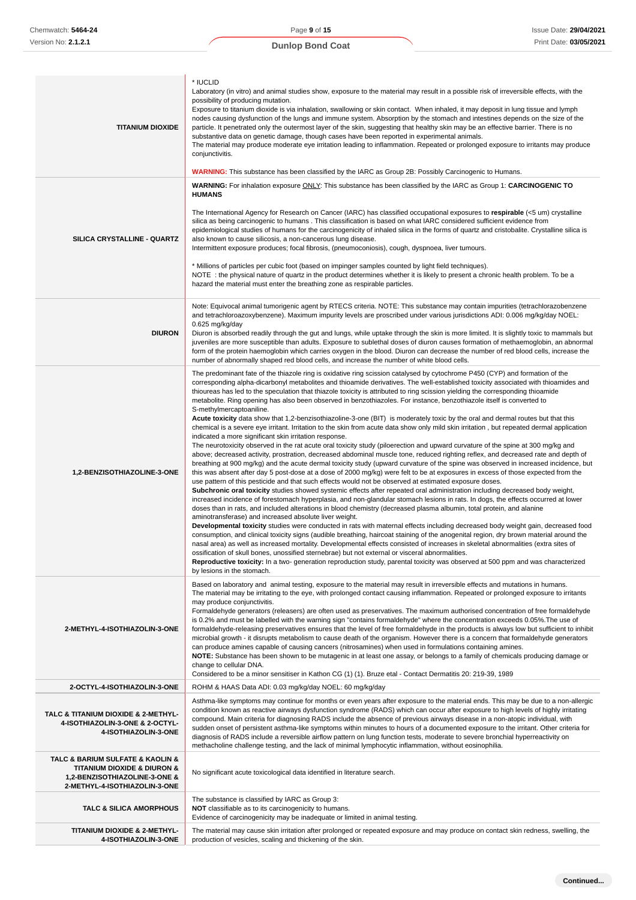| <b>TITANIUM DIOXIDE</b>                                                                                                           | * IUCLID<br>Laboratory (in vitro) and animal studies show, exposure to the material may result in a possible risk of irreversible effects, with the<br>possibility of producing mutation.<br>Exposure to titanium dioxide is via inhalation, swallowing or skin contact. When inhaled, it may deposit in lung tissue and lymph<br>nodes causing dysfunction of the lungs and immune system. Absorption by the stomach and intestines depends on the size of the<br>particle. It penetrated only the outermost layer of the skin, suggesting that healthy skin may be an effective barrier. There is no<br>substantive data on genetic damage, though cases have been reported in experimental animals.<br>The material may produce moderate eye irritation leading to inflammation. Repeated or prolonged exposure to irritants may produce<br>conjunctivitis.<br><b>WARNING:</b> This substance has been classified by the IARC as Group 2B: Possibly Carcinogenic to Humans.                                                                                                                                                                                                                                                                                                                                                                                                                                                                                                                                                                                                                                                                                                                                                                                                                                                                                                                                                                                                                                                                                                                                                                                                                                                                                                                                                                                                                                                                                                                                                                                                                                                                                                                                     |
|-----------------------------------------------------------------------------------------------------------------------------------|--------------------------------------------------------------------------------------------------------------------------------------------------------------------------------------------------------------------------------------------------------------------------------------------------------------------------------------------------------------------------------------------------------------------------------------------------------------------------------------------------------------------------------------------------------------------------------------------------------------------------------------------------------------------------------------------------------------------------------------------------------------------------------------------------------------------------------------------------------------------------------------------------------------------------------------------------------------------------------------------------------------------------------------------------------------------------------------------------------------------------------------------------------------------------------------------------------------------------------------------------------------------------------------------------------------------------------------------------------------------------------------------------------------------------------------------------------------------------------------------------------------------------------------------------------------------------------------------------------------------------------------------------------------------------------------------------------------------------------------------------------------------------------------------------------------------------------------------------------------------------------------------------------------------------------------------------------------------------------------------------------------------------------------------------------------------------------------------------------------------------------------------------------------------------------------------------------------------------------------------------------------------------------------------------------------------------------------------------------------------------------------------------------------------------------------------------------------------------------------------------------------------------------------------------------------------------------------------------------------------------------------------------------------------------------------------------------------------|
|                                                                                                                                   | WARNING: For inhalation exposure ONLY: This substance has been classified by the IARC as Group 1: CARCINOGENIC TO                                                                                                                                                                                                                                                                                                                                                                                                                                                                                                                                                                                                                                                                                                                                                                                                                                                                                                                                                                                                                                                                                                                                                                                                                                                                                                                                                                                                                                                                                                                                                                                                                                                                                                                                                                                                                                                                                                                                                                                                                                                                                                                                                                                                                                                                                                                                                                                                                                                                                                                                                                                                  |
| SILICA CRYSTALLINE - QUARTZ                                                                                                       | <b>HUMANS</b><br>The International Agency for Research on Cancer (IARC) has classified occupational exposures to respirable (<5 um) crystalline<br>silica as being carcinogenic to humans. This classification is based on what IARC considered sufficient evidence from<br>epidemiological studies of humans for the carcinogenicity of inhaled silica in the forms of quartz and cristobalite. Crystalline silica is<br>also known to cause silicosis, a non-cancerous lung disease.<br>Intermittent exposure produces; focal fibrosis, (pneumoconiosis), cough, dyspnoea, liver tumours.<br>* Millions of particles per cubic foot (based on impinger samples counted by light field techniques).<br>NOTE : the physical nature of quartz in the product determines whether it is likely to present a chronic health problem. To be a<br>hazard the material must enter the breathing zone as respirable particles.                                                                                                                                                                                                                                                                                                                                                                                                                                                                                                                                                                                                                                                                                                                                                                                                                                                                                                                                                                                                                                                                                                                                                                                                                                                                                                                                                                                                                                                                                                                                                                                                                                                                                                                                                                                             |
|                                                                                                                                   | Note: Equivocal animal tumorigenic agent by RTECS criteria. NOTE: This substance may contain impurities (tetrachlorazobenzene                                                                                                                                                                                                                                                                                                                                                                                                                                                                                                                                                                                                                                                                                                                                                                                                                                                                                                                                                                                                                                                                                                                                                                                                                                                                                                                                                                                                                                                                                                                                                                                                                                                                                                                                                                                                                                                                                                                                                                                                                                                                                                                                                                                                                                                                                                                                                                                                                                                                                                                                                                                      |
| <b>DIURON</b>                                                                                                                     | and tetrachloroazoxybenzene). Maximum impurity levels are proscribed under various jurisdictions ADI: 0.006 mg/kg/day NOEL:<br>0.625 mg/kg/day<br>Diuron is absorbed readily through the gut and lungs, while uptake through the skin is more limited. It is slightly toxic to mammals but<br>juveniles are more susceptible than adults. Exposure to sublethal doses of diuron causes formation of methaemoglobin, an abnormal<br>form of the protein haemoglobin which carries oxygen in the blood. Diuron can decrease the number of red blood cells, increase the<br>number of abnormally shaped red blood cells, and increase the number of white blood cells.                                                                                                                                                                                                                                                                                                                                                                                                                                                                                                                                                                                                                                                                                                                                                                                                                                                                                                                                                                                                                                                                                                                                                                                                                                                                                                                                                                                                                                                                                                                                                                                                                                                                                                                                                                                                                                                                                                                                                                                                                                                |
| 1,2-BENZISOTHIAZOLINE-3-ONE                                                                                                       | The predominant fate of the thiazole ring is oxidative ring scission catalysed by cytochrome P450 (CYP) and formation of the<br>corresponding alpha-dicarbonyl metabolites and thioamide derivatives. The well-established toxicity associated with thioamides and<br>thioureas has led to the speculation that thiazole toxicity is attributed to ring scission yielding the corresponding thioamide<br>metabolite. Ring opening has also been observed in benzothiazoles. For instance, benzothiazole itself is converted to<br>S-methylmercaptoaniline.<br>Acute toxicity data show that 1,2-benzisothiazoline-3-one (BIT) is moderately toxic by the oral and dermal routes but that this<br>chemical is a severe eye irritant. Irritation to the skin from acute data show only mild skin irritation, but repeated dermal application<br>indicated a more significant skin irritation response.<br>The neurotoxicity observed in the rat acute oral toxicity study (piloerection and upward curvature of the spine at 300 mg/kg and<br>above; decreased activity, prostration, decreased abdominal muscle tone, reduced righting reflex, and decreased rate and depth of<br>breathing at 900 mg/kg) and the acute dermal toxicity study (upward curvature of the spine was observed in increased incidence, but<br>this was absent after day 5 post-dose at a dose of 2000 mg/kg) were felt to be at exposures in excess of those expected from the<br>use pattern of this pesticide and that such effects would not be observed at estimated exposure doses.<br>Subchronic oral toxicity studies showed systemic effects after repeated oral administration including decreased body weight,<br>increased incidence of forestomach hyperplasia, and non-glandular stomach lesions in rats. In dogs, the effects occurred at lower<br>doses than in rats, and included alterations in blood chemistry (decreased plasma albumin, total protein, and alanine<br>aminotransferase) and increased absolute liver weight.<br>Developmental toxicity studies were conducted in rats with maternal effects including decreased body weight gain, decreased food<br>consumption, and clinical toxicity signs (audible breathing, haircoat staining of the anogenital region, dry brown material around the<br>nasal area) as well as increased mortality. Developmental effects consisted of increases in skeletal abnormalities (extra sites of<br>ossification of skull bones, unossified sternebrae) but not external or visceral abnormalities.<br>Reproductive toxicity: In a two- generation reproduction study, parental toxicity was observed at 500 ppm and was characterized<br>by lesions in the stomach. |
| 2-METHYL-4-ISOTHIAZOLIN-3-ONE                                                                                                     | Based on laboratory and animal testing, exposure to the material may result in irreversible effects and mutations in humans.<br>The material may be irritating to the eye, with prolonged contact causing inflammation. Repeated or prolonged exposure to irritants<br>may produce conjunctivitis.<br>Formaldehyde generators (releasers) are often used as preservatives. The maximum authorised concentration of free formaldehyde<br>is 0.2% and must be labelled with the warning sign "contains formaldehyde" where the concentration exceeds 0.05%. The use of<br>formaldehyde-releasing preservatives ensures that the level of free formaldehyde in the products is always low but sufficient to inhibit<br>microbial growth - it disrupts metabolism to cause death of the organism. However there is a concern that formaldehyde generators<br>can produce amines capable of causing cancers (nitrosamines) when used in formulations containing amines.<br>NOTE: Substance has been shown to be mutagenic in at least one assay, or belongs to a family of chemicals producing damage or<br>change to cellular DNA.<br>Considered to be a minor sensitiser in Kathon CG (1) (1). Bruze etal - Contact Dermatitis 20: 219-39, 1989                                                                                                                                                                                                                                                                                                                                                                                                                                                                                                                                                                                                                                                                                                                                                                                                                                                                                                                                                                                                                                                                                                                                                                                                                                                                                                                                                                                                                                                                       |
| 2-OCTYL-4-ISOTHIAZOLIN-3-ONE                                                                                                      | ROHM & HAAS Data ADI: 0.03 mg/kg/day NOEL: 60 mg/kg/day                                                                                                                                                                                                                                                                                                                                                                                                                                                                                                                                                                                                                                                                                                                                                                                                                                                                                                                                                                                                                                                                                                                                                                                                                                                                                                                                                                                                                                                                                                                                                                                                                                                                                                                                                                                                                                                                                                                                                                                                                                                                                                                                                                                                                                                                                                                                                                                                                                                                                                                                                                                                                                                            |
| TALC & TITANIUM DIOXIDE & 2-METHYL-<br>4-ISOTHIAZOLIN-3-ONE & 2-OCTYL-<br>4-ISOTHIAZOLIN-3-ONE                                    | Asthma-like symptoms may continue for months or even years after exposure to the material ends. This may be due to a non-allergic<br>condition known as reactive airways dysfunction syndrome (RADS) which can occur after exposure to high levels of highly irritating<br>compound. Main criteria for diagnosing RADS include the absence of previous airways disease in a non-atopic individual, with<br>sudden onset of persistent asthma-like symptoms within minutes to hours of a documented exposure to the irritant. Other criteria for<br>diagnosis of RADS include a reversible airflow pattern on lung function tests, moderate to severe bronchial hyperreactivity on<br>methacholine challenge testing, and the lack of minimal lymphocytic inflammation, without eosinophilia.                                                                                                                                                                                                                                                                                                                                                                                                                                                                                                                                                                                                                                                                                                                                                                                                                                                                                                                                                                                                                                                                                                                                                                                                                                                                                                                                                                                                                                                                                                                                                                                                                                                                                                                                                                                                                                                                                                                       |
| TALC & BARIUM SULFATE & KAOLIN &<br>TITANIUM DIOXIDE & DIURON &<br>1,2-BENZISOTHIAZOLINE-3-ONE &<br>2-METHYL-4-ISOTHIAZOLIN-3-ONE | No significant acute toxicological data identified in literature search.                                                                                                                                                                                                                                                                                                                                                                                                                                                                                                                                                                                                                                                                                                                                                                                                                                                                                                                                                                                                                                                                                                                                                                                                                                                                                                                                                                                                                                                                                                                                                                                                                                                                                                                                                                                                                                                                                                                                                                                                                                                                                                                                                                                                                                                                                                                                                                                                                                                                                                                                                                                                                                           |
| <b>TALC &amp; SILICA AMORPHOUS</b>                                                                                                | The substance is classified by IARC as Group 3:<br><b>NOT</b> classifiable as to its carcinogenicity to humans.<br>Evidence of carcinogenicity may be inadequate or limited in animal testing.                                                                                                                                                                                                                                                                                                                                                                                                                                                                                                                                                                                                                                                                                                                                                                                                                                                                                                                                                                                                                                                                                                                                                                                                                                                                                                                                                                                                                                                                                                                                                                                                                                                                                                                                                                                                                                                                                                                                                                                                                                                                                                                                                                                                                                                                                                                                                                                                                                                                                                                     |
| TITANIUM DIOXIDE & 2-METHYL-<br>4-ISOTHIAZOLIN-3-ONE                                                                              | The material may cause skin irritation after prolonged or repeated exposure and may produce on contact skin redness, swelling, the<br>production of vesicles, scaling and thickening of the skin.                                                                                                                                                                                                                                                                                                                                                                                                                                                                                                                                                                                                                                                                                                                                                                                                                                                                                                                                                                                                                                                                                                                                                                                                                                                                                                                                                                                                                                                                                                                                                                                                                                                                                                                                                                                                                                                                                                                                                                                                                                                                                                                                                                                                                                                                                                                                                                                                                                                                                                                  |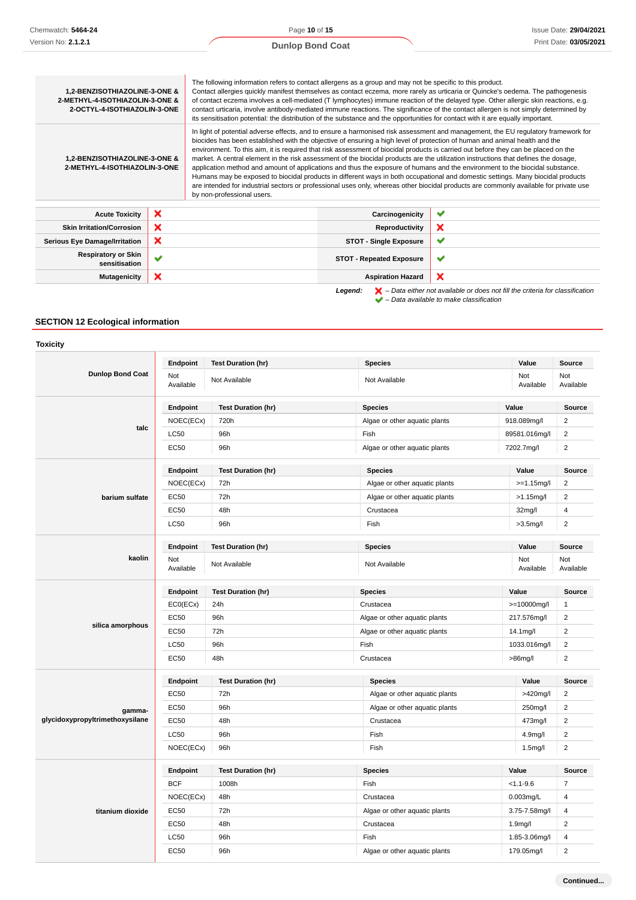# **Dunlop Bond Coat**

| 1,2-BENZISOTHIAZOLINE-3-ONE &<br>2-METHYL-4-ISOTHIAZOLIN-3-ONE &<br>2-OCTYL-4-ISOTHIAZOLIN-3-ONE |   | The following information refers to contact allergens as a group and may not be specific to this product.<br>Contact allergies quickly manifest themselves as contact eczema, more rarely as urticaria or Quincke's oedema. The pathogenesis<br>of contact eczema involves a cell-mediated (T lymphocytes) immune reaction of the delayed type. Other allergic skin reactions, e.g.<br>contact urticaria, involve antibody-mediated immune reactions. The significance of the contact allergen is not simply determined by<br>its sensitisation potential: the distribution of the substance and the opportunities for contact with it are equally important.                                                                                                                                                                                                                                                                                                                          |                                 |                                                                                                    |
|--------------------------------------------------------------------------------------------------|---|----------------------------------------------------------------------------------------------------------------------------------------------------------------------------------------------------------------------------------------------------------------------------------------------------------------------------------------------------------------------------------------------------------------------------------------------------------------------------------------------------------------------------------------------------------------------------------------------------------------------------------------------------------------------------------------------------------------------------------------------------------------------------------------------------------------------------------------------------------------------------------------------------------------------------------------------------------------------------------------|---------------------------------|----------------------------------------------------------------------------------------------------|
| 1,2-BENZISOTHIAZOLINE-3-ONE &<br>2-METHYL-4-ISOTHIAZOLIN-3-ONE                                   |   | In light of potential adverse effects, and to ensure a harmonised risk assessment and management, the EU regulatory framework for<br>biocides has been established with the objective of ensuring a high level of protection of human and animal health and the<br>environment. To this aim, it is required that risk assessment of biocidal products is carried out before they can be placed on the<br>market. A central element in the risk assessment of the biocidal products are the utilization instructions that defines the dosage,<br>application method and amount of applications and thus the exposure of humans and the environment to the biocidal substance.<br>Humans may be exposed to biocidal products in different ways in both occupational and domestic settings. Many biocidal products<br>are intended for industrial sectors or professional uses only, whereas other biocidal products are commonly available for private use<br>by non-professional users. |                                 |                                                                                                    |
| <b>Acute Toxicity</b>                                                                            | × |                                                                                                                                                                                                                                                                                                                                                                                                                                                                                                                                                                                                                                                                                                                                                                                                                                                                                                                                                                                        | Carcinogenicity                 | $\checkmark$                                                                                       |
| <b>Skin Irritation/Corrosion</b>                                                                 | × |                                                                                                                                                                                                                                                                                                                                                                                                                                                                                                                                                                                                                                                                                                                                                                                                                                                                                                                                                                                        | Reproductivity                  | ×                                                                                                  |
| <b>Serious Eye Damage/Irritation</b>                                                             | × |                                                                                                                                                                                                                                                                                                                                                                                                                                                                                                                                                                                                                                                                                                                                                                                                                                                                                                                                                                                        | <b>STOT - Single Exposure</b>   | ✔                                                                                                  |
| <b>Respiratory or Skin</b><br>sensitisation                                                      | ✔ |                                                                                                                                                                                                                                                                                                                                                                                                                                                                                                                                                                                                                                                                                                                                                                                                                                                                                                                                                                                        | <b>STOT - Repeated Exposure</b> | ✔                                                                                                  |
| <b>Mutagenicity</b>                                                                              | × |                                                                                                                                                                                                                                                                                                                                                                                                                                                                                                                                                                                                                                                                                                                                                                                                                                                                                                                                                                                        | <b>Aspiration Hazard</b>        | ×                                                                                                  |
|                                                                                                  |   |                                                                                                                                                                                                                                                                                                                                                                                                                                                                                                                                                                                                                                                                                                                                                                                                                                                                                                                                                                                        | Legend:                         | $\blacktriangleright$ - Data either not available or does not fill the criteria for classification |

– Data available to make classification

# **SECTION 12 Ecological information**

| <b>Toxicity</b>                 |                  |                           |                                                |                     |                         |
|---------------------------------|------------------|---------------------------|------------------------------------------------|---------------------|-------------------------|
|                                 | Endpoint         | <b>Test Duration (hr)</b> | <b>Species</b>                                 | Value               | <b>Source</b>           |
| <b>Dunlop Bond Coat</b>         | Not<br>Available | Not Available             | Not Available                                  | Not<br>Available    | Not<br>Available        |
|                                 | Endpoint         | <b>Test Duration (hr)</b> | <b>Species</b>                                 | Value               | Source                  |
|                                 | NOEC(ECx)        | 720h                      | Algae or other aquatic plants                  | 918.089mg/l         | $\overline{2}$          |
| talc                            | LC50             | 96h                       | 89581.016mg/l<br>Fish                          |                     | $\overline{2}$          |
|                                 | EC50             | 96h                       | Algae or other aquatic plants                  | 7202.7mg/l          | $\overline{\mathbf{c}}$ |
|                                 | Endpoint         | <b>Test Duration (hr)</b> | <b>Species</b>                                 | Value               | Source                  |
|                                 | NOEC(ECx)        | 72h                       | Algae or other aquatic plants                  | $>=1.15$ mg/l       | $\overline{2}$          |
| barium sulfate                  | <b>EC50</b>      | 72h                       | Algae or other aquatic plants                  | $>1.15$ mg/l        | $\overline{2}$          |
|                                 | <b>EC50</b>      | 48h                       | Crustacea                                      | 32 <sub>mg</sub> /l | 4                       |
|                                 | LC50             | 96h                       | Fish                                           | $>3.5$ mg/l         | $\overline{\mathbf{c}}$ |
|                                 | Endpoint         | <b>Test Duration (hr)</b> | <b>Species</b>                                 | Value               | Source                  |
| kaolin                          | Not<br>Available | Not Available             | Not Available                                  | Not<br>Available    | Not<br>Available        |
|                                 | Endpoint         | <b>Test Duration (hr)</b> | <b>Species</b>                                 | Value               | Source                  |
|                                 | ECO(ECx)         | 24h                       | Crustacea<br>>=10000mg/l                       |                     | 1                       |
|                                 | <b>EC50</b>      | 96h                       | Algae or other aquatic plants<br>217.576mg/l   |                     | $\overline{\mathbf{c}}$ |
| silica amorphous                | <b>EC50</b>      | 72h                       | Algae or other aquatic plants<br>14.1mg/l      |                     | $\overline{2}$          |
|                                 | <b>LC50</b>      | 96h                       | Fish<br>1033.016mg/l                           |                     | $\overline{2}$          |
|                                 | <b>EC50</b>      | 48h                       | Crustacea<br>$>86$ mg/l                        |                     | $\overline{2}$          |
|                                 | Endpoint         | <b>Test Duration (hr)</b> | <b>Species</b>                                 | Value               | Source                  |
|                                 | <b>EC50</b>      | 72h                       | Algae or other aquatic plants                  | >420mg/l            | $\overline{2}$          |
| gamma-                          | EC50             | 96h                       | Algae or other aquatic plants<br>250mg/l       |                     | $\overline{2}$          |
| glycidoxypropyltrimethoxysilane | <b>EC50</b>      | 48h                       | Crustacea<br>473mg/l                           |                     | $\overline{2}$          |
|                                 | LC50             | 96h                       | Fish<br>4.9mg/l                                |                     | $\overline{\mathbf{c}}$ |
|                                 | NOEC(ECx)        | 96h                       | Fish<br>1.5 <sub>m</sub> g/l                   |                     | $\overline{2}$          |
|                                 | Endpoint         | <b>Test Duration (hr)</b> | <b>Species</b>                                 | Value               | <b>Source</b>           |
| titanium dioxide                | <b>BCF</b>       | 1008h                     | Fish                                           | $< 1.1 - 9.6$       | $\overline{7}$          |
|                                 | NOEC(ECx)        | 48h                       | Crustacea<br>0.003mg/L                         |                     | 4                       |
|                                 | <b>EC50</b>      | 72h                       | Algae or other aquatic plants<br>3.75-7.58mg/l |                     | 4                       |
|                                 | <b>EC50</b>      | 48h                       | Crustacea<br>1.9mg/l                           |                     | $\overline{2}$          |
|                                 | <b>LC50</b>      | 96h                       | Fish                                           | 1.85-3.06mg/l       | 4                       |
|                                 | <b>EC50</b>      | 96h                       | Algae or other aquatic plants                  | 179.05mg/l          | $\overline{\mathbf{c}}$ |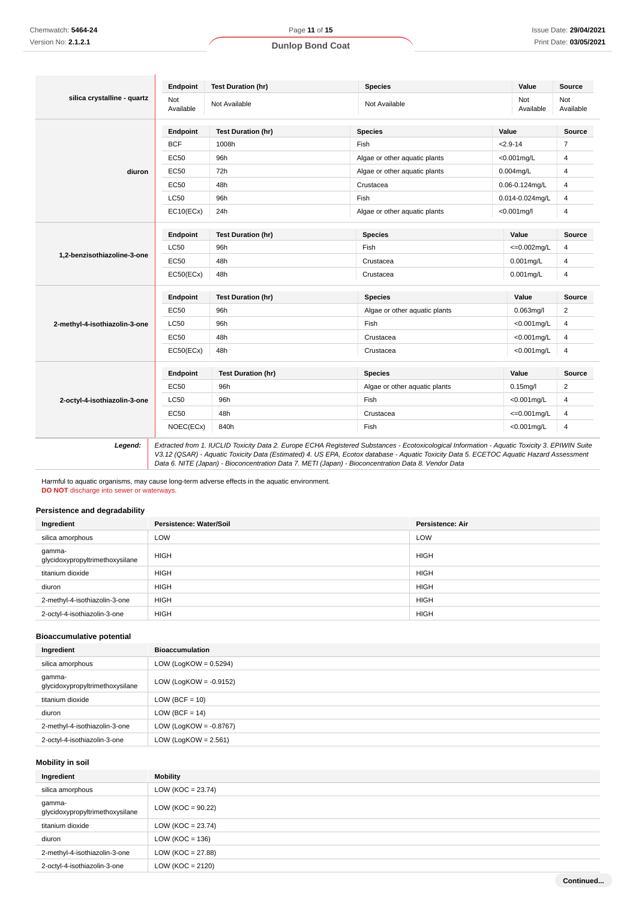# **silica crystalline - quartz Endpoint Test Duration (hr) Species Value Source** Not<br>Available Not Not Available Not Available Not Available Not Available Not Available Not Ava<br>Available Ava Available Not Available **diuron Endpoint Test Duration (hr) Species Value Source** BCF 1008h Fish Fish <2.9-14 7 EC50 96h Algae or other aquatic plants <0.001mg/L 4 EC50 72h Algae or other aquatic plants 0.004mg/L 4 EC50 48h Crustacea 0.06-0.124mg/L 4 LC50 96h Fish 0.014-0.024mg/L 4 EC10(ECx) 24h Algae or other aquatic plants <0.001mg/l 4 **1,2-benzisothiazoline-3-one Endpoint Test Duration (hr) Species Value Source**  $LCS0$  96h Fish  $\leqslant=0.002\text{mg/L}$  4 EC50 48h Crustacea 0.001mg/L 4 EC50(ECx) 48h Crustacea 0.001mg/L 4 **2-methyl-4-isothiazolin-3-one Endpoint Test Duration (hr) Species Value Source** EC50 96h Algae or other aquatic plants 0.063mg/l 2 LC50 96h Fish <0.001mg/L 4 EC50 48h Crustacea <0.001mg/L 4 EC50(ECx) 48h Crustacea <0.001mg/L 4 **2-octyl-4-isothiazolin-3-one Endpoint Test Duration (hr) Species Value Source** EC50 96h Algae or other aquatic plants 0.15mg/l 2 LC50 96h Fish <0.001mg/L 4  $EC50$  48h Crustacea  $\leq$ =0.001mg/L 4 NOEC(ECx) 840h Fish <0.001mg/L 4 **Legend:** Extracted from 1. IUCLID Toxicity Data 2. Europe ECHA Registered Substances - Ecotoxicological Information - Aquatic Toxicity 3. EPIWIN Suite

V3.12 (QSAR) - Aquatic Toxicity Data (Estimated) 4. US EPA, Ecotox database - Aquatic Toxicity Data 5. ECETOC Aquatic Hazard Assessment Data 6. NITE (Japan) - Bioconcentration Data 7. METI (Japan) - Bioconcentration Data 8. Vendor Data

Harmful to aquatic organisms, may cause long-term adverse effects in the aquatic environment. **DO NOT** discharge into sewer or waterways

# **Persistence and degradability**

| Ingredient                                | Persistence: Water/Soil | <b>Persistence: Air</b> |
|-------------------------------------------|-------------------------|-------------------------|
| silica amorphous                          | <b>LOW</b>              | LOW                     |
| gamma-<br>glycidoxypropyltrimethoxysilane | <b>HIGH</b>             | <b>HIGH</b>             |
| titanium dioxide                          | <b>HIGH</b>             | <b>HIGH</b>             |
| diuron                                    | <b>HIGH</b>             | <b>HIGH</b>             |
| 2-methyl-4-isothiazolin-3-one             | <b>HIGH</b>             | <b>HIGH</b>             |
| 2-octyl-4-isothiazolin-3-one              | <b>HIGH</b>             | <b>HIGH</b>             |

## **Bioaccumulative potential**

| Ingredient                                | <b>Bioaccumulation</b>    |
|-------------------------------------------|---------------------------|
| silica amorphous                          | LOW (LogKOW = $0.5294$ )  |
| gamma-<br>glycidoxypropyltrimethoxysilane | LOW (LogKOW = $-0.9152$ ) |
| titanium dioxide                          | $LOW (BCF = 10)$          |
| diuron                                    | $LOW (BCF = 14)$          |
| 2-methyl-4-isothiazolin-3-one             | LOW (LogKOW = $-0.8767$ ) |
| 2-octyl-4-isothiazolin-3-one              | LOW (LogKOW = $2.561$ )   |

#### **Mobility in soil**

| Ingredient                                | <b>Mobility</b>       |
|-------------------------------------------|-----------------------|
| silica amorphous                          | $LOW (KOC = 23.74)$   |
| gamma-<br>glycidoxypropyltrimethoxysilane | LOW ( $KOC = 90.22$ ) |
| titanium dioxide                          | $LOW (KOC = 23.74)$   |
| diuron                                    | LOW ( $KOC = 136$ )   |
| 2-methyl-4-isothiazolin-3-one             | LOW ( $KOC = 27.88$ ) |
| 2-octyl-4-isothiazolin-3-one              | LOW ( $KOC = 2120$ )  |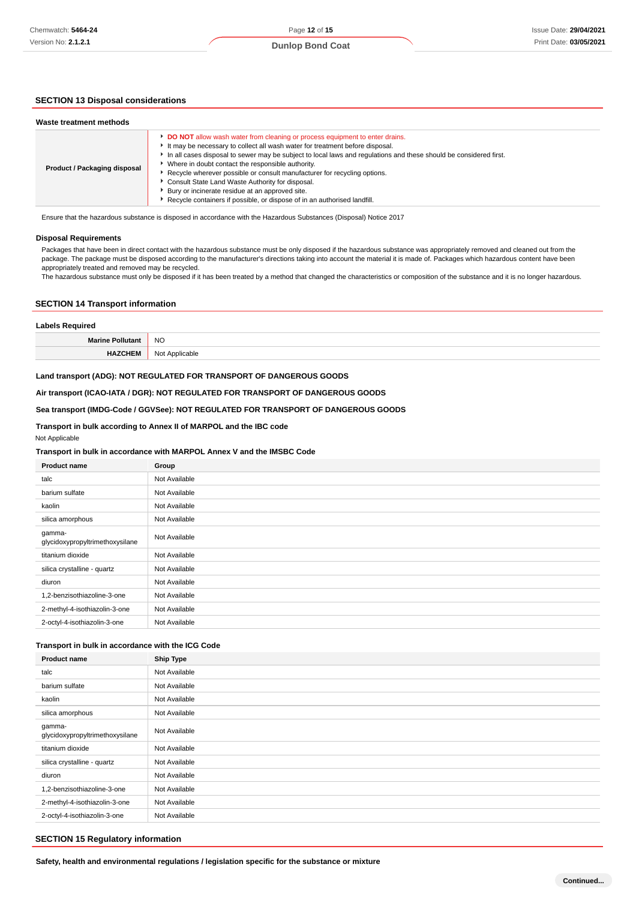# **SECTION 13 Disposal considerations**

| Waste treatment methods      |                                                                                                                                                                                                                                                                                                                                                                                                                                                                                                                                                                                                             |
|------------------------------|-------------------------------------------------------------------------------------------------------------------------------------------------------------------------------------------------------------------------------------------------------------------------------------------------------------------------------------------------------------------------------------------------------------------------------------------------------------------------------------------------------------------------------------------------------------------------------------------------------------|
| Product / Packaging disposal | <b>DO NOT</b> allow wash water from cleaning or process equipment to enter drains.<br>It may be necessary to collect all wash water for treatment before disposal.<br>In all cases disposal to sewer may be subject to local laws and regulations and these should be considered first.<br>Where in doubt contact the responsible authority.<br>Recycle wherever possible or consult manufacturer for recycling options.<br>Consult State Land Waste Authority for disposal.<br>Bury or incinerate residue at an approved site.<br>Recycle containers if possible, or dispose of in an authorised landfill. |

Ensure that the hazardous substance is disposed in accordance with the Hazardous Substances (Disposal) Notice 2017

#### **Disposal Requirements**

Packages that have been in direct contact with the hazardous substance must be only disposed if the hazardous substance was appropriately removed and cleaned out from the package. The package must be disposed according to the manufacturer's directions taking into account the material it is made of. Packages which hazardous content have been appropriately treated and removed may be recycled.

The hazardous substance must only be disposed if it has been treated by a method that changed the characteristics or composition of the substance and it is no longer hazardous.

## **SECTION 14 Transport information**

| <b>Labels Required</b>  |                |  |
|-------------------------|----------------|--|
| <b>Marine Pollutant</b> | <b>NO</b>      |  |
| <b>HAZCHEM</b>          | Not Applicable |  |

# **Land transport (ADG): NOT REGULATED FOR TRANSPORT OF DANGEROUS GOODS**

**Air transport (ICAO-IATA / DGR): NOT REGULATED FOR TRANSPORT OF DANGEROUS GOODS**

## **Sea transport (IMDG-Code / GGVSee): NOT REGULATED FOR TRANSPORT OF DANGEROUS GOODS**

# **Transport in bulk according to Annex II of MARPOL and the IBC code**

Not Applicable

## **Transport in bulk in accordance with MARPOL Annex V and the IMSBC Code**

| <b>Product name</b>                       | Group         |
|-------------------------------------------|---------------|
| talc                                      | Not Available |
| barium sulfate                            | Not Available |
| kaolin                                    | Not Available |
| silica amorphous                          | Not Available |
| gamma-<br>glycidoxypropyltrimethoxysilane | Not Available |
| titanium dioxide                          | Not Available |
| silica crystalline - quartz               | Not Available |
| diuron                                    | Not Available |
| 1,2-benzisothiazoline-3-one               | Not Available |
| 2-methyl-4-isothiazolin-3-one             | Not Available |
| 2-octyl-4-isothiazolin-3-one              | Not Available |

#### **Transport in bulk in accordance with the ICG Code**

| <b>Product name</b>                       | <b>Ship Type</b> |
|-------------------------------------------|------------------|
| talc                                      | Not Available    |
| barium sulfate                            | Not Available    |
| kaolin                                    | Not Available    |
| silica amorphous                          | Not Available    |
| gamma-<br>glycidoxypropyltrimethoxysilane | Not Available    |
| titanium dioxide                          | Not Available    |
| silica crystalline - quartz               | Not Available    |
| diuron                                    | Not Available    |
| 1,2-benzisothiazoline-3-one               | Not Available    |
| 2-methyl-4-isothiazolin-3-one             | Not Available    |
| 2-octyl-4-isothiazolin-3-one              | Not Available    |

#### **SECTION 15 Regulatory information**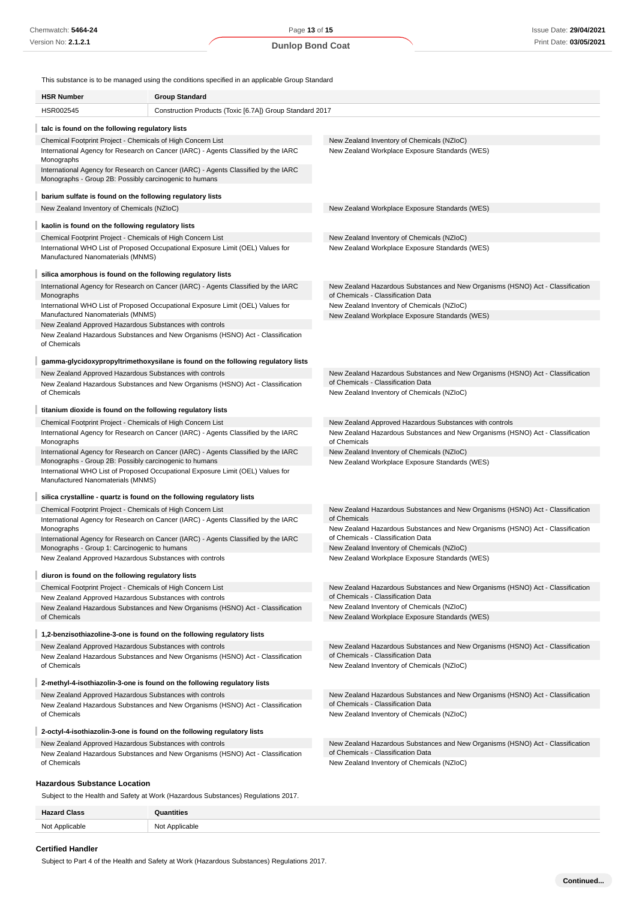This substance is to be managed using the conditions specified in an applicable Group Standard

| <b>HSR Number</b>                                                                                                      | <b>Group Standard</b>                                                              |                                                                                                                      |
|------------------------------------------------------------------------------------------------------------------------|------------------------------------------------------------------------------------|----------------------------------------------------------------------------------------------------------------------|
| HSR002545                                                                                                              | Construction Products (Toxic [6.7A]) Group Standard 2017                           |                                                                                                                      |
| talc is found on the following regulatory lists                                                                        |                                                                                    |                                                                                                                      |
| Chemical Footprint Project - Chemicals of High Concern List                                                            |                                                                                    | New Zealand Inventory of Chemicals (NZIoC)                                                                           |
| Monographs                                                                                                             | International Agency for Research on Cancer (IARC) - Agents Classified by the IARC | New Zealand Workplace Exposure Standards (WES)                                                                       |
| Monographs - Group 2B: Possibly carcinogenic to humans                                                                 | International Agency for Research on Cancer (IARC) - Agents Classified by the IARC |                                                                                                                      |
| barium sulfate is found on the following regulatory lists                                                              |                                                                                    |                                                                                                                      |
| New Zealand Inventory of Chemicals (NZIoC)                                                                             |                                                                                    | New Zealand Workplace Exposure Standards (WES)                                                                       |
| kaolin is found on the following regulatory lists                                                                      |                                                                                    |                                                                                                                      |
| Chemical Footprint Project - Chemicals of High Concern List                                                            |                                                                                    | New Zealand Inventory of Chemicals (NZIoC)                                                                           |
| Manufactured Nanomaterials (MNMS)                                                                                      | International WHO List of Proposed Occupational Exposure Limit (OEL) Values for    | New Zealand Workplace Exposure Standards (WES)                                                                       |
| silica amorphous is found on the following regulatory lists                                                            |                                                                                    |                                                                                                                      |
| Monographs                                                                                                             | International Agency for Research on Cancer (IARC) - Agents Classified by the IARC | New Zealand Hazardous Substances and New Organisms (HSNO) Act - Classification<br>of Chemicals - Classification Data |
| Manufactured Nanomaterials (MNMS)                                                                                      | International WHO List of Proposed Occupational Exposure Limit (OEL) Values for    | New Zealand Inventory of Chemicals (NZIoC)<br>New Zealand Workplace Exposure Standards (WES)                         |
| New Zealand Approved Hazardous Substances with controls                                                                |                                                                                    |                                                                                                                      |
| of Chemicals                                                                                                           | New Zealand Hazardous Substances and New Organisms (HSNO) Act - Classification     |                                                                                                                      |
|                                                                                                                        | gamma-glycidoxypropyltrimethoxysilane is found on the following regulatory lists   |                                                                                                                      |
| New Zealand Approved Hazardous Substances with controls                                                                |                                                                                    | New Zealand Hazardous Substances and New Organisms (HSNO) Act - Classification                                       |
| of Chemicals                                                                                                           | New Zealand Hazardous Substances and New Organisms (HSNO) Act - Classification     | of Chemicals - Classification Data<br>New Zealand Inventory of Chemicals (NZIoC)                                     |
| titanium dioxide is found on the following regulatory lists                                                            |                                                                                    |                                                                                                                      |
| Chemical Footprint Project - Chemicals of High Concern List                                                            |                                                                                    | New Zealand Approved Hazardous Substances with controls                                                              |
| Monographs                                                                                                             | International Agency for Research on Cancer (IARC) - Agents Classified by the IARC | New Zealand Hazardous Substances and New Organisms (HSNO) Act - Classification<br>of Chemicals                       |
| Monographs - Group 2B: Possibly carcinogenic to humans                                                                 | International Agency for Research on Cancer (IARC) - Agents Classified by the IARC | New Zealand Inventory of Chemicals (NZIoC)<br>New Zealand Workplace Exposure Standards (WES)                         |
| Manufactured Nanomaterials (MNMS)                                                                                      | International WHO List of Proposed Occupational Exposure Limit (OEL) Values for    |                                                                                                                      |
|                                                                                                                        | silica crystalline - quartz is found on the following regulatory lists             |                                                                                                                      |
| Chemical Footprint Project - Chemicals of High Concern List                                                            |                                                                                    | New Zealand Hazardous Substances and New Organisms (HSNO) Act - Classification                                       |
| Monographs                                                                                                             | International Agency for Research on Cancer (IARC) - Agents Classified by the IARC | of Chemicals<br>New Zealand Hazardous Substances and New Organisms (HSNO) Act - Classification                       |
|                                                                                                                        | International Agency for Research on Cancer (IARC) - Agents Classified by the IARC | of Chemicals - Classification Data                                                                                   |
| Monographs - Group 1: Carcinogenic to humans<br>New Zealand Approved Hazardous Substances with controls                |                                                                                    | New Zealand Inventory of Chemicals (NZIoC)<br>New Zealand Workplace Exposure Standards (WES)                         |
|                                                                                                                        |                                                                                    |                                                                                                                      |
| diuron is found on the following regulatory lists                                                                      |                                                                                    |                                                                                                                      |
| Chemical Footprint Project - Chemicals of High Concern List<br>New Zealand Approved Hazardous Substances with controls |                                                                                    | New Zealand Hazardous Substances and New Organisms (HSNO) Act - Classification<br>of Chemicals - Classification Data |
|                                                                                                                        | New Zealand Hazardous Substances and New Organisms (HSNO) Act - Classification     | New Zealand Inventory of Chemicals (NZIoC)                                                                           |
| of Chemicals                                                                                                           |                                                                                    | New Zealand Workplace Exposure Standards (WES)                                                                       |
|                                                                                                                        | 1,2-benzisothiazoline-3-one is found on the following regulatory lists             |                                                                                                                      |
| New Zealand Approved Hazardous Substances with controls                                                                |                                                                                    | New Zealand Hazardous Substances and New Organisms (HSNO) Act - Classification                                       |
| of Chemicals                                                                                                           | New Zealand Hazardous Substances and New Organisms (HSNO) Act - Classification     | of Chemicals - Classification Data<br>New Zealand Inventory of Chemicals (NZIoC)                                     |
|                                                                                                                        | 2-methyl-4-isothiazolin-3-one is found on the following regulatory lists           |                                                                                                                      |
| New Zealand Approved Hazardous Substances with controls                                                                | New Zealand Hazardous Substances and New Organisms (HSNO) Act - Classification     | New Zealand Hazardous Substances and New Organisms (HSNO) Act - Classification<br>of Chemicals - Classification Data |
| of Chemicals                                                                                                           |                                                                                    | New Zealand Inventory of Chemicals (NZIoC)                                                                           |
|                                                                                                                        | 2-octyl-4-isothiazolin-3-one is found on the following regulatory lists            |                                                                                                                      |
| New Zealand Approved Hazardous Substances with controls                                                                | New Zealand Hazardous Substances and New Organisms (HSNO) Act - Classification     | New Zealand Hazardous Substances and New Organisms (HSNO) Act - Classification<br>of Chemicals - Classification Data |
| of Chemicals                                                                                                           |                                                                                    | New Zealand Inventory of Chemicals (NZIoC)                                                                           |
| <b>Hazardous Substance Location</b>                                                                                    |                                                                                    |                                                                                                                      |
|                                                                                                                        | Subject to the Health and Safety at Work (Hazardous Substances) Regulations 2017.  |                                                                                                                      |

| $T_{\rm max}$ | <b>titiac</b>     |
|---------------|-------------------|
| יכות          | wes               |
| NM+           | ∽י<br>onic<br>___ |

## **Certified Handler**

Subject to Part 4 of the Health and Safety at Work (Hazardous Substances) Regulations 2017.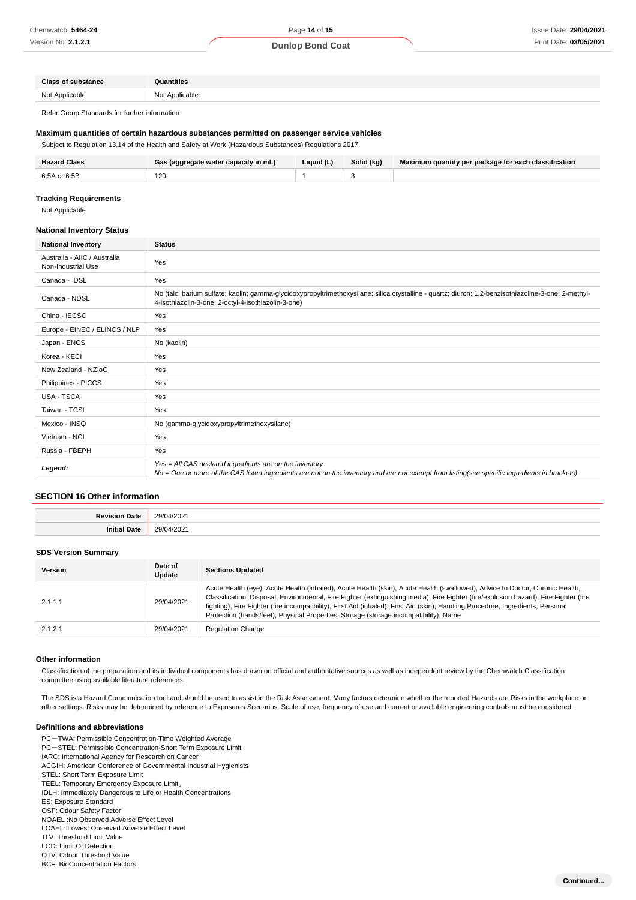#### **Dunlop Bond Coat**

| Class:               | 2221AC |
|----------------------|--------|
| <b>N<sub>I</sub></b> | N∩     |
| .                    | ,,,    |
|                      | .      |
|                      |        |

Refer Group Standards for further information

## **Maximum quantities of certain hazardous substances permitted on passenger service vehicles**

Subject to Regulation 13.14 of the Health and Safety at Work (Hazardous Substances) Regulations 2017.

| <b>Hazard Class</b> | Gas (aggregate water capacity in mL) | Liquid (L) | Solid (kg) | Maximum quantity per package for each classification |
|---------------------|--------------------------------------|------------|------------|------------------------------------------------------|
| 6.5A or 6.5B        | 120                                  |            |            |                                                      |

#### **Tracking Requirements**

Not Applicable

#### **National Inventory Status**

| <b>National Inventory</b>                          | <b>Status</b>                                                                                                                                                                                               |  |  |
|----------------------------------------------------|-------------------------------------------------------------------------------------------------------------------------------------------------------------------------------------------------------------|--|--|
| Australia - AIIC / Australia<br>Non-Industrial Use | Yes                                                                                                                                                                                                         |  |  |
| Canada - DSL                                       | Yes                                                                                                                                                                                                         |  |  |
| Canada - NDSL                                      | No (talc; barium sulfate; kaolin; gamma-glycidoxypropyltrimethoxysilane; silica crystalline - quartz; diuron; 1,2-benzisothiazoline-3-one; 2-methyl-<br>4-isothiazolin-3-one; 2-octyl-4-isothiazolin-3-one) |  |  |
| China - IECSC                                      | Yes                                                                                                                                                                                                         |  |  |
| Europe - EINEC / ELINCS / NLP                      | Yes                                                                                                                                                                                                         |  |  |
| Japan - ENCS                                       | No (kaolin)                                                                                                                                                                                                 |  |  |
| Korea - KECI                                       | Yes                                                                                                                                                                                                         |  |  |
| New Zealand - NZIoC                                | Yes                                                                                                                                                                                                         |  |  |
| Philippines - PICCS                                | Yes                                                                                                                                                                                                         |  |  |
| USA - TSCA                                         | Yes                                                                                                                                                                                                         |  |  |
| Taiwan - TCSI                                      | Yes                                                                                                                                                                                                         |  |  |
| Mexico - INSQ                                      | No (gamma-glycidoxypropyltrimethoxysilane)                                                                                                                                                                  |  |  |
| Vietnam - NCI                                      | Yes                                                                                                                                                                                                         |  |  |
| Russia - FBEPH                                     | Yes                                                                                                                                                                                                         |  |  |
| Legend:                                            | Yes = All CAS declared ingredients are on the inventory<br>No = One or more of the CAS listed ingredients are not on the inventory and are not exempt from listing(see specific ingredients in brackets)    |  |  |

## **SECTION 16 Other information**

| Date<br>Revis<br>sion | 29/04/202  |
|-----------------------|------------|
| $\cdots$              | 29/04/2021 |
| 11210                 | ____       |
| ∍au.                  |            |

#### **SDS Version Summary**

| <b>Version</b> | Date of<br><b>Update</b> | <b>Sections Updated</b>                                                                                                                                                                                                                                                                                                                                                                                                                                                                            |
|----------------|--------------------------|----------------------------------------------------------------------------------------------------------------------------------------------------------------------------------------------------------------------------------------------------------------------------------------------------------------------------------------------------------------------------------------------------------------------------------------------------------------------------------------------------|
| 2.1.1.1        | 29/04/2021               | Acute Health (eye), Acute Health (inhaled), Acute Health (skin), Acute Health (swallowed), Advice to Doctor, Chronic Health,<br>Classification, Disposal, Environmental, Fire Fighter (extinguishing media), Fire Fighter (fire/explosion hazard), Fire Fighter (fire<br>fighting), Fire Fighter (fire incompatibility), First Aid (inhaled), First Aid (skin), Handling Procedure, Ingredients, Personal<br>Protection (hands/feet), Physical Properties, Storage (storage incompatibility), Name |
| 2.1.2.1        | 29/04/2021               | <b>Regulation Change</b>                                                                                                                                                                                                                                                                                                                                                                                                                                                                           |

#### **Other information**

Classification of the preparation and its individual components has drawn on official and authoritative sources as well as independent review by the Chemwatch Classification committee using available literature references.

The SDS is a Hazard Communication tool and should be used to assist in the Risk Assessment. Many factors determine whether the reported Hazards are Risks in the workplace or other settings. Risks may be determined by reference to Exposures Scenarios. Scale of use, frequency of use and current or available engineering controls must be considered.

#### **Definitions and abbreviations**

PC-TWA: Permissible Concentration-Time Weighted Average PC-STEL: Permissible Concentration-Short Term Exposure Limit IARC: International Agency for Research on Cancer ACGIH: American Conference of Governmental Industrial Hygienists STEL: Short Term Exposure Limit TEEL: Temporary Emergency Exposure Limit。 IDLH: Immediately Dangerous to Life or Health Concentrations ES: Exposure Standard OSF: Odour Safety Factor NOAEL :No Observed Adverse Effect Level LOAEL: Lowest Observed Adverse Effect Level TLV: Threshold Limit Value LOD: Limit Of Detection OTV: Odour Threshold Value BCF: BioConcentration Factors